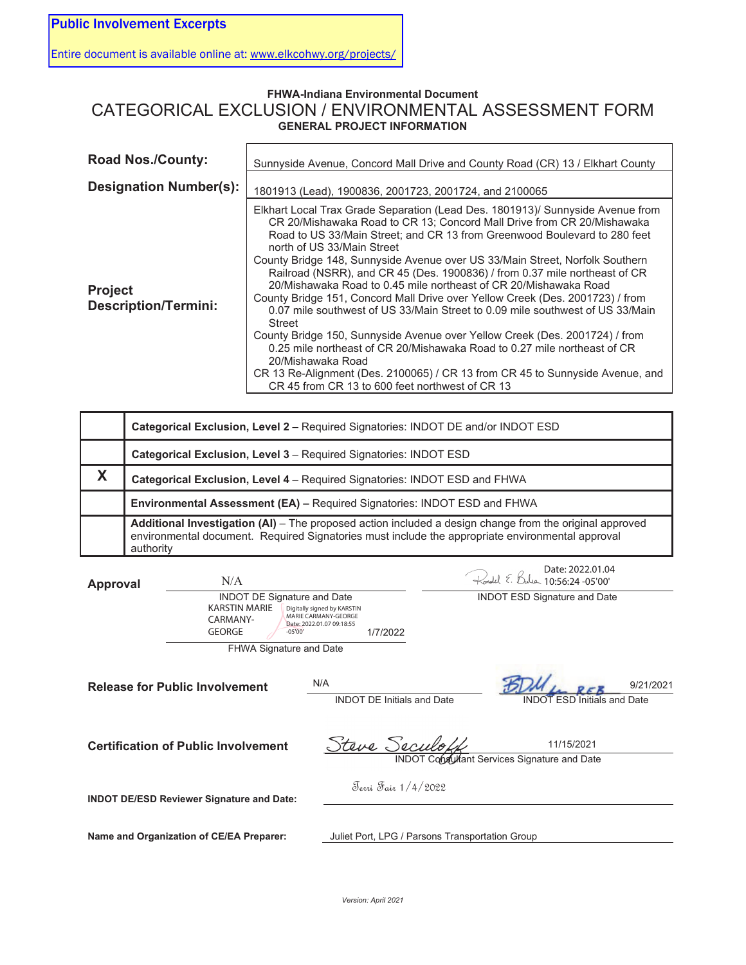Entire document is available online at: www.elkcohwy.org/projects/

## **FHWA-Indiana Environmental Document**  CATEGORICAL EXCLUSION / ENVIRONMENTAL ASSESSMENT FORM **GENERAL PROJECT INFORMATION**

| <b>Road Nos./County:</b>                      | Sunnyside Avenue, Concord Mall Drive and County Road (CR) 13 / Elkhart County                                                                                                                                                                                                                                                                                                                                                                                                                                                                                                                                                                                                                                                                                                                                                                                                                                                                                                                                |
|-----------------------------------------------|--------------------------------------------------------------------------------------------------------------------------------------------------------------------------------------------------------------------------------------------------------------------------------------------------------------------------------------------------------------------------------------------------------------------------------------------------------------------------------------------------------------------------------------------------------------------------------------------------------------------------------------------------------------------------------------------------------------------------------------------------------------------------------------------------------------------------------------------------------------------------------------------------------------------------------------------------------------------------------------------------------------|
| <b>Designation Number(s):</b>                 | 1801913 (Lead), 1900836, 2001723, 2001724, and 2100065                                                                                                                                                                                                                                                                                                                                                                                                                                                                                                                                                                                                                                                                                                                                                                                                                                                                                                                                                       |
| <b>Project</b><br><b>Description/Termini:</b> | Elkhart Local Trax Grade Separation (Lead Des. 1801913)/ Sunnyside Avenue from<br>CR 20/Mishawaka Road to CR 13; Concord Mall Drive from CR 20/Mishawaka<br>Road to US 33/Main Street; and CR 13 from Greenwood Boulevard to 280 feet<br>north of US 33/Main Street<br>County Bridge 148, Sunnyside Avenue over US 33/Main Street, Norfolk Southern<br>Railroad (NSRR), and CR 45 (Des. 1900836) / from 0.37 mile northeast of CR<br>20/Mishawaka Road to 0.45 mile northeast of CR 20/Mishawaka Road<br>County Bridge 151, Concord Mall Drive over Yellow Creek (Des. 2001723) / from<br>0.07 mile southwest of US 33/Main Street to 0.09 mile southwest of US 33/Main<br><b>Street</b><br>County Bridge 150, Sunnyside Avenue over Yellow Creek (Des. 2001724) / from<br>0.25 mile northeast of CR 20/Mishawaka Road to 0.27 mile northeast of CR<br>20/Mishawaka Road<br>CR 13 Re-Alignment (Des. 2100065) / CR 13 from CR 45 to Sunnyside Avenue, and<br>CR 45 from CR 13 to 600 feet northwest of CR 13 |

| Categorical Exclusion, Level 2 - Required Signatories: INDOT DE and/or INDOT ESD                                                                                                                                         |
|--------------------------------------------------------------------------------------------------------------------------------------------------------------------------------------------------------------------------|
| <b>Categorical Exclusion, Level 3 - Required Signatories: INDOT ESD</b>                                                                                                                                                  |
| Categorical Exclusion, Level 4 - Required Signatories: INDOT ESD and FHWA                                                                                                                                                |
| <b>Environmental Assessment (EA) – Required Signatories: INDOT ESD and FHWA</b>                                                                                                                                          |
| Additional Investigation (AI) - The proposed action included a design change from the original approved<br>environmental document. Required Signatories must include the appropriate environmental approval<br>authority |

| <b>Approval</b> | N/A                                                                                                  |                                                                                              | Kondel E.<br>$4 - 10.56.24 - 05'00'$   | Date: 2022.01.04                   |           |
|-----------------|------------------------------------------------------------------------------------------------------|----------------------------------------------------------------------------------------------|----------------------------------------|------------------------------------|-----------|
|                 | <b>INDOT DE Signature and Date</b><br><b>KARSTIN MARIE</b><br>CARMANY-<br><b>GEORGE</b><br>$-05'00'$ | Digitally signed by KARSTIN<br>MARIE CARMANY-GEORGE<br>Date: 2022.01.07 09:18:55<br>1/7/2022 | <b>INDOT ESD Signature and Date</b>    |                                    |           |
|                 | <b>FHWA Signature and Date</b>                                                                       |                                                                                              |                                        |                                    |           |
|                 | <b>Release for Public Involvement</b>                                                                | N/A<br><b>INDOT DE Initials and Date</b>                                                     |                                        | <b>INDOT ESD Initials and Date</b> | 9/21/2021 |
|                 | <b>Certification of Public Involvement</b>                                                           | Steve Seculo                                                                                 | Consultant Services Signature and Date | 11/15/2021                         |           |
|                 | <b>INDOT DE/ESD Reviewer Signature and Date:</b>                                                     | Jevri Fair 1/4/2022                                                                          |                                        |                                    |           |
|                 | Name and Organization of CE/EA Preparer:                                                             | Juliet Port, LPG / Parsons Transportation Group                                              |                                        |                                    |           |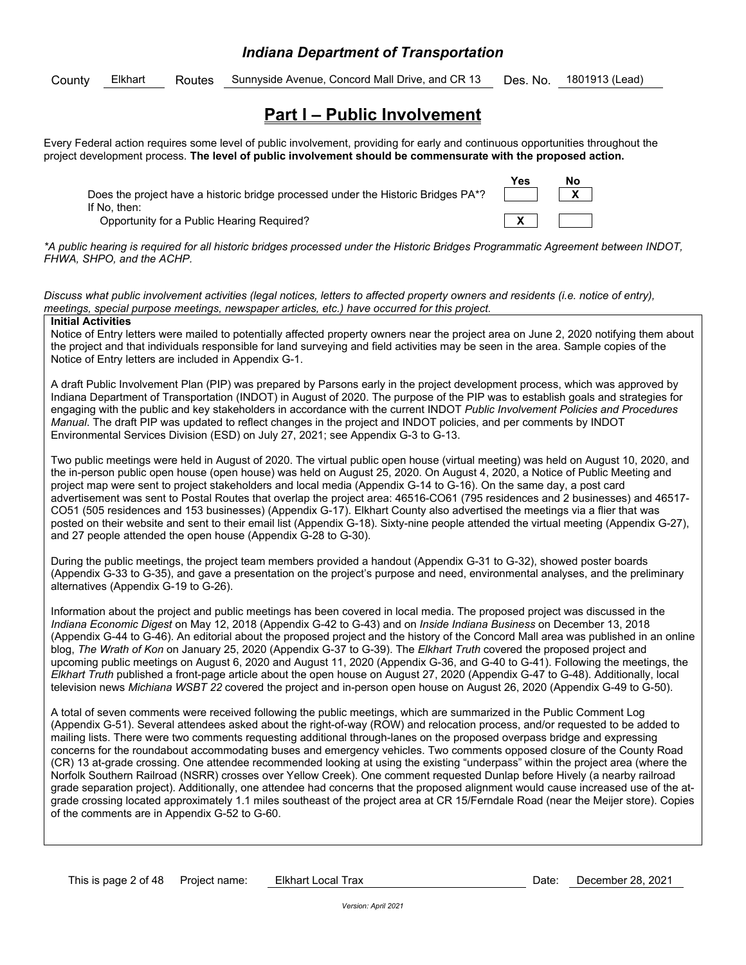## *Indiana Department of Transportation*

County Elkhart Routes Sunnyside Avenue, Concord Mall Drive, and CR 13 Des. No. 1801913 (Lead)

## **Part I – Public Involvement**

Every Federal action requires some level of public involvement, providing for early and continuous opportunities throughout the project development process. **The level of public involvement should be commensurate with the proposed action.** 

Does the project have a historic bridge processed under the Historic Bridges PA\*? **THE** If No, then:

**Opportunity for a Public Hearing Required?** 



*\*A public hearing is required for all historic bridges processed under the Historic Bridges Programmatic Agreement between INDOT, FHWA, SHPO, and the ACHP.* 

*Discuss what public involvement activities (legal notices, letters to affected property owners and residents (i.e. notice of entry), meetings, special purpose meetings, newspaper articles, etc.) have occurred for this project.* 

#### **Initial Activities**

Notice of Entry letters were mailed to potentially affected property owners near the project area on June 2, 2020 notifying them about the project and that individuals responsible for land surveying and field activities may be seen in the area. Sample copies of the Notice of Entry letters are included in Appendix G-1.

A draft Public Involvement Plan (PIP) was prepared by Parsons early in the project development process, which was approved by Indiana Department of Transportation (INDOT) in August of 2020. The purpose of the PIP was to establish goals and strategies for engaging with the public and key stakeholders in accordance with the current INDOT *Public Involvement Policies and Procedures Manual*. The draft PIP was updated to reflect changes in the project and INDOT policies, and per comments by INDOT Environmental Services Division (ESD) on July 27, 2021; see Appendix G-3 to G-13.

Two public meetings were held in August of 2020. The virtual public open house (virtual meeting) was held on August 10, 2020, and the in-person public open house (open house) was held on August 25, 2020. On August 4, 2020, a Notice of Public Meeting and project map were sent to project stakeholders and local media (Appendix G-14 to G-16). On the same day, a post card advertisement was sent to Postal Routes that overlap the project area: 46516-CO61 (795 residences and 2 businesses) and 46517- CO51 (505 residences and 153 businesses) (Appendix G-17). Elkhart County also advertised the meetings via a flier that was posted on their website and sent to their email list (Appendix G-18). Sixty-nine people attended the virtual meeting (Appendix G-27), and 27 people attended the open house (Appendix G-28 to G-30).

During the public meetings, the project team members provided a handout (Appendix G-31 to G-32), showed poster boards (Appendix G-33 to G-35), and gave a presentation on the project's purpose and need, environmental analyses, and the preliminary alternatives (Appendix G-19 to G-26).

Information about the project and public meetings has been covered in local media. The proposed project was discussed in the *Indiana Economic Digest* on May 12, 2018 (Appendix G-42 to G-43) and on *Inside Indiana Business* on December 13, 2018 (Appendix G-44 to G-46). An editorial about the proposed project and the history of the Concord Mall area was published in an online blog, *The Wrath of Kon* on January 25, 2020 (Appendix G-37 to G-39). The *Elkhart Truth* covered the proposed project and upcoming public meetings on August 6, 2020 and August 11, 2020 (Appendix G-36, and G-40 to G-41). Following the meetings, the *Elkhart Truth* published a front-page article about the open house on August 27, 2020 (Appendix G-47 to G-48). Additionally, local television news *Michiana WSBT 22* covered the project and in-person open house on August 26, 2020 (Appendix G-49 to G-50).

A total of seven comments were received following the public meetings, which are summarized in the Public Comment Log (Appendix G-51). Several attendees asked about the right-of-way (ROW) and relocation process, and/or requested to be added to mailing lists. There were two comments requesting additional through-lanes on the proposed overpass bridge and expressing concerns for the roundabout accommodating buses and emergency vehicles. Two comments opposed closure of the County Road (CR) 13 at-grade crossing. One attendee recommended looking at using the existing "underpass" within the project area (where the Norfolk Southern Railroad (NSRR) crosses over Yellow Creek). One comment requested Dunlap before Hively (a nearby railroad grade separation project). Additionally, one attendee had concerns that the proposed alignment would cause increased use of the atgrade crossing located approximately 1.1 miles southeast of the project area at CR 15/Ferndale Road (near the Meijer store). Copies of the comments are in Appendix G-52 to G-60.

This is page 2 of 48 Project name: Elkhart Local Trax Changes Controller Mate: December 28, 2021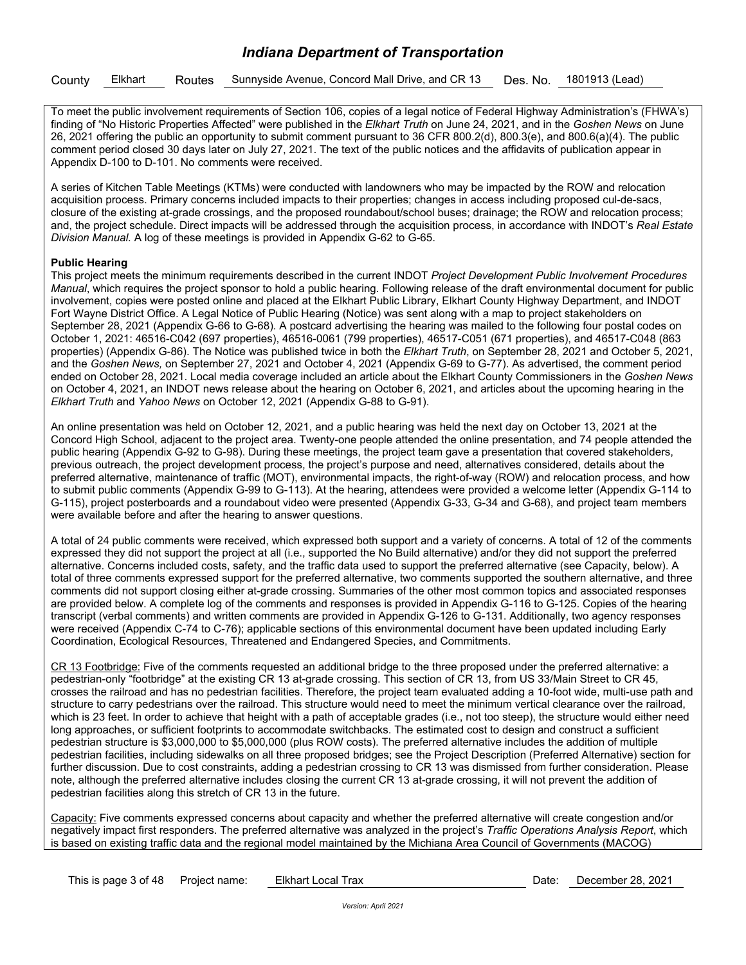|  |  |  | County Elkhart Routes Sunnyside Avenue, Concord Mall Drive, and CR 13 Des. No. 1801913 (Lead) |  |  |  |
|--|--|--|-----------------------------------------------------------------------------------------------|--|--|--|
|--|--|--|-----------------------------------------------------------------------------------------------|--|--|--|

To meet the public involvement requirements of Section 106, copies of a legal notice of Federal Highway Administration's (FHWA's) finding of "No Historic Properties Affected" were published in the *Elkhart Truth* on June 24, 2021, and in the *Goshen News* on June 26, 2021 offering the public an opportunity to submit comment pursuant to 36 CFR 800.2(d), 800.3(e), and 800.6(a)(4). The public comment period closed 30 days later on July 27, 2021. The text of the public notices and the affidavits of publication appear in Appendix D-100 to D-101. No comments were received.

A series of Kitchen Table Meetings (KTMs) were conducted with landowners who may be impacted by the ROW and relocation acquisition process. Primary concerns included impacts to their properties; changes in access including proposed cul-de-sacs, closure of the existing at-grade crossings, and the proposed roundabout/school buses; drainage; the ROW and relocation process; and, the project schedule. Direct impacts will be addressed through the acquisition process, in accordance with INDOT's *Real Estate Division Manual.* A log of these meetings is provided in Appendix G-62 to G-65.

#### **Public Hearing**

This project meets the minimum requirements described in the current INDOT *Project Development Public Involvement Procedures Manual*, which requires the project sponsor to hold a public hearing. Following release of the draft environmental document for public involvement, copies were posted online and placed at the Elkhart Public Library, Elkhart County Highway Department, and INDOT Fort Wayne District Office. A Legal Notice of Public Hearing (Notice) was sent along with a map to project stakeholders on September 28, 2021 (Appendix G-66 to G-68). A postcard advertising the hearing was mailed to the following four postal codes on October 1, 2021: 46516-C042 (697 properties), 46516-0061 (799 properties), 46517-C051 (671 properties), and 46517-C048 (863 properties) (Appendix G-86). The Notice was published twice in both the *Elkhart Truth*, on September 28, 2021 and October 5, 2021, and the *Goshen News,* on September 27, 2021 and October 4, 2021 (Appendix G-69 to G-77). As advertised, the comment period ended on October 28, 2021. Local media coverage included an article about the Elkhart County Commissioners in the *Goshen News* on October 4, 2021, an INDOT news release about the hearing on October 6, 2021, and articles about the upcoming hearing in the *Elkhart Truth* and *Yahoo News* on October 12, 2021 (Appendix G-88 to G-91).

An online presentation was held on October 12, 2021, and a public hearing was held the next day on October 13, 2021 at the Concord High School, adjacent to the project area. Twenty-one people attended the online presentation, and 74 people attended the public hearing (Appendix G-92 to G-98). During these meetings, the project team gave a presentation that covered stakeholders, previous outreach, the project development process, the project's purpose and need, alternatives considered, details about the preferred alternative, maintenance of traffic (MOT), environmental impacts, the right-of-way (ROW) and relocation process, and how to submit public comments (Appendix G-99 to G-113). At the hearing, attendees were provided a welcome letter (Appendix G-114 to G-115), project posterboards and a roundabout video were presented (Appendix G-33, G-34 and G-68), and project team members were available before and after the hearing to answer questions.

A total of 24 public comments were received, which expressed both support and a variety of concerns. A total of 12 of the comments expressed they did not support the project at all (i.e., supported the No Build alternative) and/or they did not support the preferred alternative. Concerns included costs, safety, and the traffic data used to support the preferred alternative (see Capacity, below). A total of three comments expressed support for the preferred alternative, two comments supported the southern alternative, and three comments did not support closing either at-grade crossing. Summaries of the other most common topics and associated responses are provided below. A complete log of the comments and responses is provided in Appendix G-116 to G-125. Copies of the hearing transcript (verbal comments) and written comments are provided in Appendix G-126 to G-131. Additionally, two agency responses were received (Appendix C-74 to C-76); applicable sections of this environmental document have been updated including Early Coordination, Ecological Resources, Threatened and Endangered Species, and Commitments.

CR 13 Footbridge: Five of the comments requested an additional bridge to the three proposed under the preferred alternative: a pedestrian-only "footbridge" at the existing CR 13 at-grade crossing. This section of CR 13, from US 33/Main Street to CR 45, crosses the railroad and has no pedestrian facilities. Therefore, the project team evaluated adding a 10-foot wide, multi-use path and structure to carry pedestrians over the railroad. This structure would need to meet the minimum vertical clearance over the railroad, which is 23 feet. In order to achieve that height with a path of acceptable grades (i.e., not too steep), the structure would either need long approaches, or sufficient footprints to accommodate switchbacks. The estimated cost to design and construct a sufficient pedestrian structure is \$3,000,000 to \$5,000,000 (plus ROW costs). The preferred alternative includes the addition of multiple pedestrian facilities, including sidewalks on all three proposed bridges; see the Project Description (Preferred Alternative) section for further discussion. Due to cost constraints, adding a pedestrian crossing to CR 13 was dismissed from further consideration. Please note, although the preferred alternative includes closing the current CR 13 at-grade crossing, it will not prevent the addition of pedestrian facilities along this stretch of CR 13 in the future.

Capacity: Five comments expressed concerns about capacity and whether the preferred alternative will create congestion and/or negatively impact first responders. The preferred alternative was analyzed in the project's *Traffic Operations Analysis Report*, which is based on existing traffic data and the regional model maintained by the Michiana Area Council of Governments (MACOG)

| This is page 3 of 48 | Project name: |
|----------------------|---------------|
|----------------------|---------------|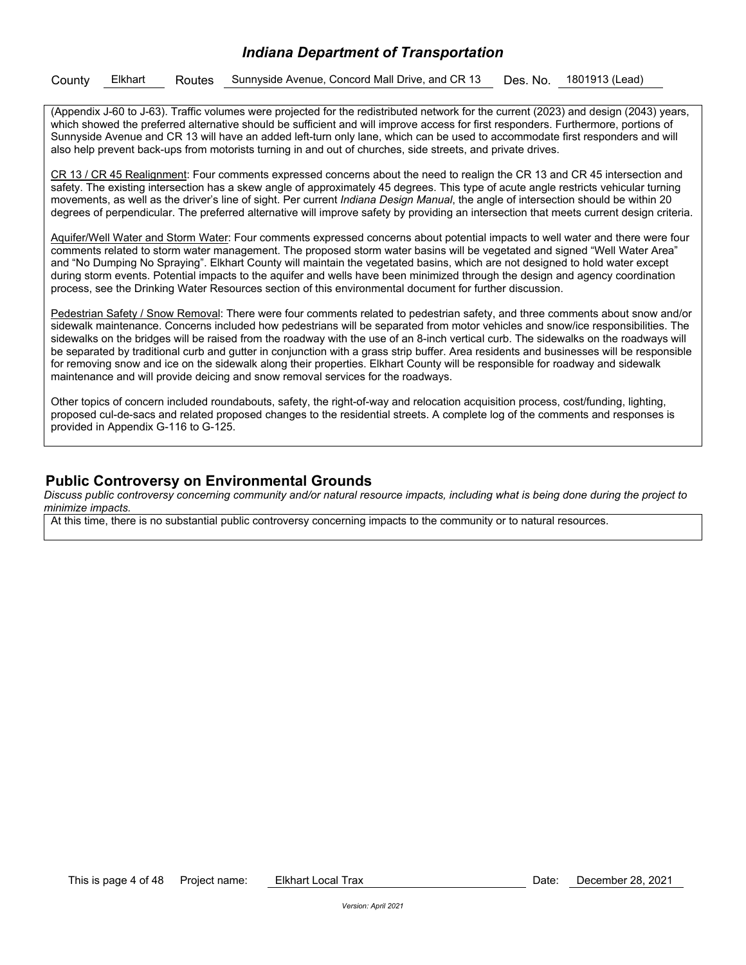## *Indiana Department of Transportation*

|  | County Elkhart |  |  | <sup>1</sup> Routes Sunnyside Avenue, Concord Mall Drive, and CR 13 Des. No. 1801913 (Lead) |  |  |
|--|----------------|--|--|---------------------------------------------------------------------------------------------|--|--|
|--|----------------|--|--|---------------------------------------------------------------------------------------------|--|--|

(Appendix J-60 to J-63). Traffic volumes were projected for the redistributed network for the current (2023) and design (2043) years, which showed the preferred alternative should be sufficient and will improve access for first responders. Furthermore, portions of Sunnyside Avenue and CR 13 will have an added left-turn only lane, which can be used to accommodate first responders and will also help prevent back-ups from motorists turning in and out of churches, side streets, and private drives.

CR 13 / CR 45 Realignment: Four comments expressed concerns about the need to realign the CR 13 and CR 45 intersection and safety. The existing intersection has a skew angle of approximately 45 degrees. This type of acute angle restricts vehicular turning movements, as well as the driver's line of sight. Per current *Indiana Design Manual*, the angle of intersection should be within 20 degrees of perpendicular. The preferred alternative will improve safety by providing an intersection that meets current design criteria.

Aquifer/Well Water and Storm Water: Four comments expressed concerns about potential impacts to well water and there were four comments related to storm water management. The proposed storm water basins will be vegetated and signed "Well Water Area" and "No Dumping No Spraying". Elkhart County will maintain the vegetated basins, which are not designed to hold water except during storm events. Potential impacts to the aquifer and wells have been minimized through the design and agency coordination process, see the Drinking Water Resources section of this environmental document for further discussion.

Pedestrian Safety / Snow Removal: There were four comments related to pedestrian safety, and three comments about snow and/or sidewalk maintenance. Concerns included how pedestrians will be separated from motor vehicles and snow/ice responsibilities. The sidewalks on the bridges will be raised from the roadway with the use of an 8-inch vertical curb. The sidewalks on the roadways will be separated by traditional curb and gutter in conjunction with a grass strip buffer. Area residents and businesses will be responsible for removing snow and ice on the sidewalk along their properties. Elkhart County will be responsible for roadway and sidewalk maintenance and will provide deicing and snow removal services for the roadways.

Other topics of concern included roundabouts, safety, the right-of-way and relocation acquisition process, cost/funding, lighting, proposed cul-de-sacs and related proposed changes to the residential streets. A complete log of the comments and responses is provided in Appendix G-116 to G-125.

## **Public Controversy on Environmental Grounds**

*Discuss public controversy concerning community and/or natural resource impacts, including what is being done during the project to minimize impacts.* 

At this time, there is no substantial public controversy concerning impacts to the community or to natural resources.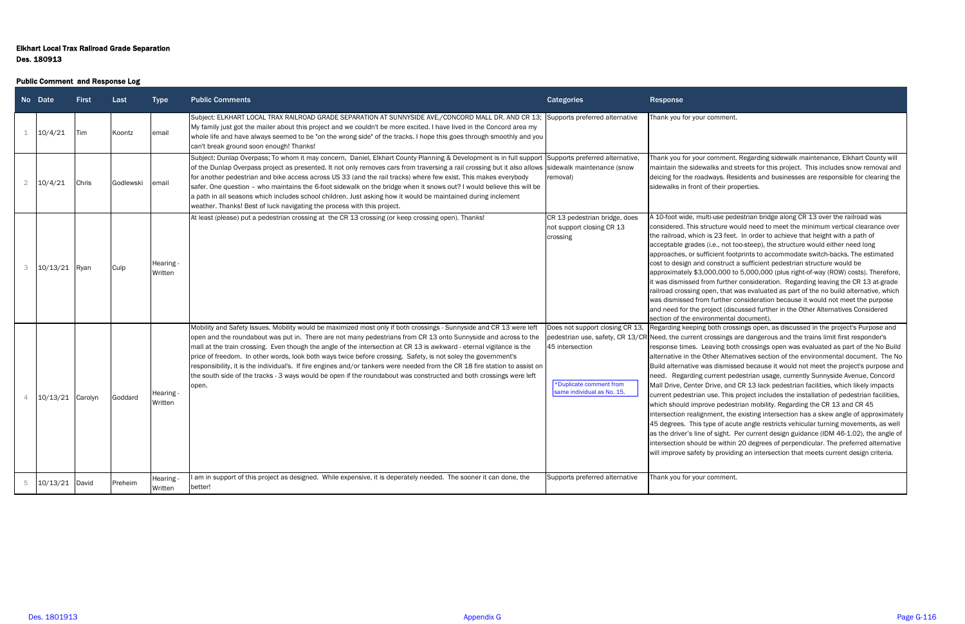# Elkhart Local Trax Railroad Grade Separation Des. 180913

#### Public Comment and Response Log

|                | No Date          | <b>First</b> | Last      | <b>Type</b>          | <b>Public Comments</b>                                                                                                                                                                                                                                                                                                                                                                                                                                                                                                                                                                                                                                                                                                                            | <b>Categories</b>                                                                                           | Response                                                                                                                                                                                                                                                                                                                                                                                                                                                                                                                                                                                                                                                                                                                                                                                                                                                                                                                                                                                                                                                                                                                                                                                                                                                                           |
|----------------|------------------|--------------|-----------|----------------------|---------------------------------------------------------------------------------------------------------------------------------------------------------------------------------------------------------------------------------------------------------------------------------------------------------------------------------------------------------------------------------------------------------------------------------------------------------------------------------------------------------------------------------------------------------------------------------------------------------------------------------------------------------------------------------------------------------------------------------------------------|-------------------------------------------------------------------------------------------------------------|------------------------------------------------------------------------------------------------------------------------------------------------------------------------------------------------------------------------------------------------------------------------------------------------------------------------------------------------------------------------------------------------------------------------------------------------------------------------------------------------------------------------------------------------------------------------------------------------------------------------------------------------------------------------------------------------------------------------------------------------------------------------------------------------------------------------------------------------------------------------------------------------------------------------------------------------------------------------------------------------------------------------------------------------------------------------------------------------------------------------------------------------------------------------------------------------------------------------------------------------------------------------------------|
|                | 10/4/21          | <b>Tim</b>   | Koontz    | email                | Subject: ELKHART LOCAL TRAX RAILROAD GRADE SEPARATION AT SUNNYSIDE AVE./CONCORD MALL DR. AND CR 13; Supports preferred alternative<br>My family just got the mailer about this project and we couldn't be more excited. I have lived in the Concord area my<br>whole life and have always seemed to be "on the wrong side" of the tracks. I hope this goes through smoothly and you<br>can't break ground soon enough! Thanks!                                                                                                                                                                                                                                                                                                                    |                                                                                                             | Thank you for your comment.                                                                                                                                                                                                                                                                                                                                                                                                                                                                                                                                                                                                                                                                                                                                                                                                                                                                                                                                                                                                                                                                                                                                                                                                                                                        |
| $\overline{2}$ | 10/4/21          | Chris        | Godlewski | email                | Subject: Dunlap Overpass; To whom it may concern, Daniel, Elkhart County Planning & Development is in full support Supports preferred alternative,<br>of the Dunlap Overpass project as presented. It not only removes cars from traversing a rail crossing but it also allows sidewalk maintenance (snow<br>for another pedestrian and bike access across US 33 (and the rail tracks) where few exist. This makes everybody<br>safer. One question - who maintains the 6-foot sidewalk on the bridge when it snows out? I would believe this will be<br>a path in all seasons which includes school children. Just asking how it would be maintained during inclement<br>weather. Thanks! Best of luck navigating the process with this project. | removal)                                                                                                    | Thank you for your comment. Regarding sidewalk maintenance, Elkhart County will<br>maintain the sidewalks and streets for this project. This includes snow removal and<br>deicing for the roadways. Residents and businesses are responsible for clearing the<br>sidewalks in front of their properties.                                                                                                                                                                                                                                                                                                                                                                                                                                                                                                                                                                                                                                                                                                                                                                                                                                                                                                                                                                           |
|                | 10/13/21 Ryan    |              | Culp      | Hearing -<br>Written | At least (please) put a pedestrian crossing at the CR 13 crossing (or keep crossing open). Thanks!                                                                                                                                                                                                                                                                                                                                                                                                                                                                                                                                                                                                                                                | CR 13 pedestrian bridge, does<br>not support closing CR 13<br>crossing                                      | A 10-foot wide, multi-use pedestrian bridge along CR 13 over the railroad was<br>considered. This structure would need to meet the minimum vertical clearance over<br>the railroad, which is 23 feet. In order to achieve that height with a path of<br>acceptable grades (i.e., not too-steep), the structure would either need long<br>approaches, or sufficient footprints to accommodate switch-backs. The estimated<br>cost to design and construct a sufficient pedestrian structure would be<br>approximately \$3,000,000 to 5,000,000 (plus right-of-way (ROW) costs). Therefore,<br>it was dismissed from further consideration. Regarding leaving the CR 13 at-grade<br>railroad crossing open, that was evaluated as part of the no build alternative, which<br>was dismissed from further consideration because it would not meet the purpose<br>and need for the project (discussed further in the Other Alternatives Considered<br>section of the environmental document).                                                                                                                                                                                                                                                                                           |
|                | 10/13/21 Carolyn |              | Goddard   | Hearing -<br>Written | Mobility and Safety Issues. Mobility would be maximized most only if both crossings - Sunnyside and CR 13 were left<br>open and the roundabout was put in. There are not many pedestrians from CR 13 onto Sunnyside and across to the<br>mall at the train crossing. Even though the angle of the intersection at CR 13 is awkward - eternal vigilance is the<br>price of freedom. In other words, look both ways twice before crossing. Safety, is not soley the government's<br>responsibility, it is the individual's. If fire engines and/or tankers were needed from the CR 18 fire station to assist on<br>the south side of the tracks - 3 ways would be open if the roundabout was constructed and both crossings were left<br>open.      | Does not support closing CR 13,<br>45 intersection<br>*Duplicate comment from<br>same individual as No. 15. | Regarding keeping both crossings open, as discussed in the project's Purpose and<br>pedestrian use, safety, CR 13/CR Need, the current crossings are dangerous and the trains limit first responder's<br>response times. Leaving both crossings open was evaluated as part of the No Build<br>alternative in the Other Alternatives section of the environmental document. The No<br>Build alternative was dismissed because it would not meet the project's purpose and<br>need. Regarding current pedestrian usage, currently Sunnyside Avenue, Concord<br>Mall Drive, Center Drive, and CR 13 lack pedestrian facilities, which likely impacts<br>current pedestrian use. This project includes the installation of pedestrian facilities,<br>which should improve pedestrian mobility. Regarding the CR 13 and CR 45<br>intersection realignment, the existing intersection has a skew angle of approximately<br>45 degrees. This type of acute angle restricts vehicular turning movements, as well<br>as the driver's line of sight. Per current design guidance (IDM 46-1.02), the angle of<br>intersection should be within 20 degrees of perpendicular. The preferred alternative<br>will improve safety by providing an intersection that meets current design criteria. |
|                | 10/13/21 David   |              | Preheim   | Hearing ·<br>Written | am in support of this project as designed. While expensive, it is deperately needed. The sooner it can done, the<br>better!                                                                                                                                                                                                                                                                                                                                                                                                                                                                                                                                                                                                                       | Supports preferred alternative                                                                              | Thank you for your comment.                                                                                                                                                                                                                                                                                                                                                                                                                                                                                                                                                                                                                                                                                                                                                                                                                                                                                                                                                                                                                                                                                                                                                                                                                                                        |

#### comment.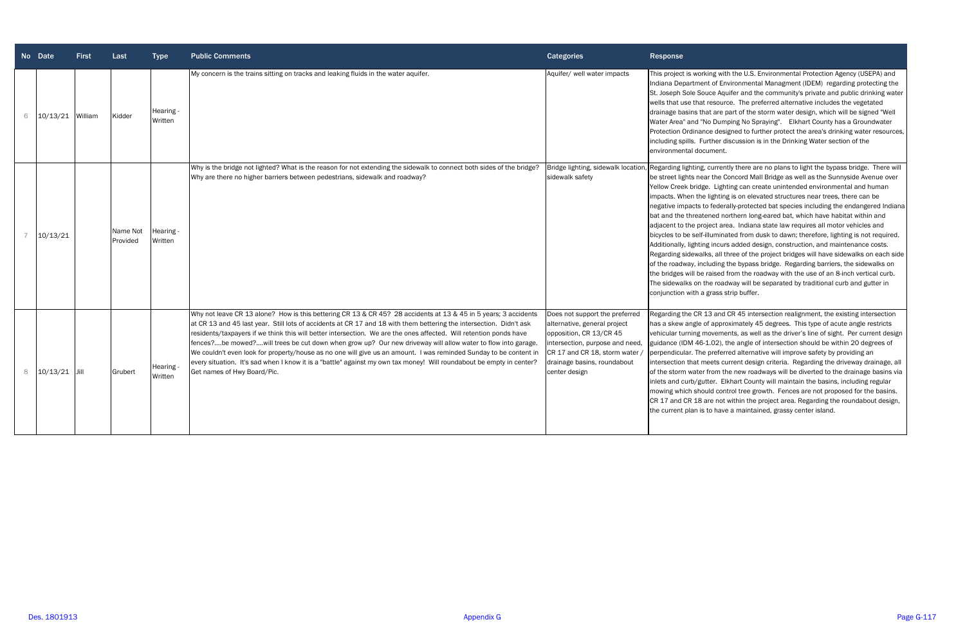|                | No Date  | <b>First</b> | Last                 | <b>Type</b>          | <b>Public Comments</b>                                                                                                                                                                                                                                                                                                                                                                                                                                                                                                                                                                                                                                                                                                                                 | <b>Categories</b>                                                                                                                                                                                              | <b>Response</b>                                                                                                                                                                                                                                                                                                                                                                                                                 |
|----------------|----------|--------------|----------------------|----------------------|--------------------------------------------------------------------------------------------------------------------------------------------------------------------------------------------------------------------------------------------------------------------------------------------------------------------------------------------------------------------------------------------------------------------------------------------------------------------------------------------------------------------------------------------------------------------------------------------------------------------------------------------------------------------------------------------------------------------------------------------------------|----------------------------------------------------------------------------------------------------------------------------------------------------------------------------------------------------------------|---------------------------------------------------------------------------------------------------------------------------------------------------------------------------------------------------------------------------------------------------------------------------------------------------------------------------------------------------------------------------------------------------------------------------------|
| 6              | 10/13/21 | William      | Kidder               | Hearing -<br>Written | My concern is the trains sitting on tracks and leaking fluids in the water aquifer.                                                                                                                                                                                                                                                                                                                                                                                                                                                                                                                                                                                                                                                                    | Aquifer/ well water impacts                                                                                                                                                                                    | This project is working wit<br>Indiana Department of Er<br>St. Joseph Sole Souce Aq<br>wells that use that resour<br>drainage basins that are<br>Water Area" and "No Dum<br>Protection Ordinance des<br>including spills. Further o<br>environmental document                                                                                                                                                                   |
| $\overline{7}$ | 10/13/21 |              | Name Not<br>Provided | Hearing -<br>Written | Why is the bridge not lighted? What is the reason for not extending the sidewalk to connect both sides of the bridge?<br>Why are there no higher barriers between pedestrians, sidewalk and roadway?                                                                                                                                                                                                                                                                                                                                                                                                                                                                                                                                                   | Bridge lighting, sidewalk location<br>sidewalk safety                                                                                                                                                          | Regarding lighting, currer<br>be street lights near the O<br>Yellow Creek bridge. Ligh<br>impacts. When the lightin<br>negative impacts to feder<br>bat and the threatened ne<br>adjacent to the project ar<br>bicycles to be self-illumina<br>Additionally, lighting incur<br>Regarding sidewalks, all t<br>of the roadway, including<br>the bridges will be raised<br>The sidewalks on the road<br>conjunction with a grass s |
| 8              | 10/13/21 | <b>Jill</b>  | Grubert              | Hearing -<br>Written | Why not leave CR 13 alone? How is this bettering CR 13 & CR 45? 28 accidents at 13 & 45 in 5 years; 3 accidents<br>at CR 13 and 45 last year. Still lots of accidents at CR 17 and 18 with them bettering the intersection. Didn't ask<br>residents/taxpayers if we think this will better intersection. We are the ones affected. Will retention ponds have<br>fences?be mowed?will trees be cut down when grow up? Our new driveway will allow water to flow into garage<br>We couldn't even look for property/house as no one will give us an amount. I was reminded Sunday to be content in<br>every situation. It's sad when I know it is a "battle" against my own tax money! Will roundabout be empty in center?<br>Get names of Hwy Board/Pic. | Does not support the preferred<br>alternative, general project<br>opposition, CR 13/CR 45<br>intersection, purpose and need,<br>CR 17 and CR 18, storm water /<br>drainage basins, roundabout<br>center design | Regarding the CR 13 and<br>has a skew angle of appre<br>vehicular turning movem<br>guidance (IDM 46-1.02),<br>perpendicular. The prefer<br>intersection that meets cr<br>of the storm water from tl<br>inlets and curb/gutter. El<br>mowing which should cor<br>CR 17 and CR 18 are not<br>the current plan is to hav                                                                                                           |

ing with the U.S. Environmental Protection Agency (USEPA) and Indiana Environmental Managment (IDEM) regarding protecting the Ice Aquifer and the community's private and public drinking water resource. The preferred alternative includes the vegetated at are part of the storm water design, which will be signed "Well lo Dumping No Spraying". Elkhart County has a Groundwater ce designed to further protect the area's drinking water resources, rther discussion is in the Drinking Water section of the

currently there are no plans to light the bypass bridge. There will the Concord Mall Bridge as well as the Sunnyside Avenue over Lighting can create unintended environmental and human lighting is on elevated structures near trees, there can be federally-protected bat species including the endangered Indiana ned northern long-eared bat, which have habitat within and ject area. Indiana state law requires all motor vehicles and lluminated from dusk to dawn; therefore, lighting is not required. incurs added design, construction, and maintenance costs.  $\kappa$ s, all three of the project bridges will have sidewalks on each side luding the bypass bridge. Regarding barriers, the sidewalks on raised from the roadway with the use of an 8-inch vertical curb. The roadway will be separated by traditional curb and gutter in grass strip buffer.

.3 and CR 45 intersection realignment, the existing intersection approximately 45 degrees. This type of acute angle restricts ovements, as well as the driver's line of sight. Per current design L.02), the angle of intersection should be within 20 degrees of preferred alternative will improve safety by providing an eets current design criteria. Regarding the driveway drainage, all from the new roadways will be diverted to the drainage basins via ter. Elkhart County will maintain the basins, including regular ald control tree growth. Fences are not proposed for the basins. re not within the project area. Regarding the roundabout design, to have a maintained, grassy center island.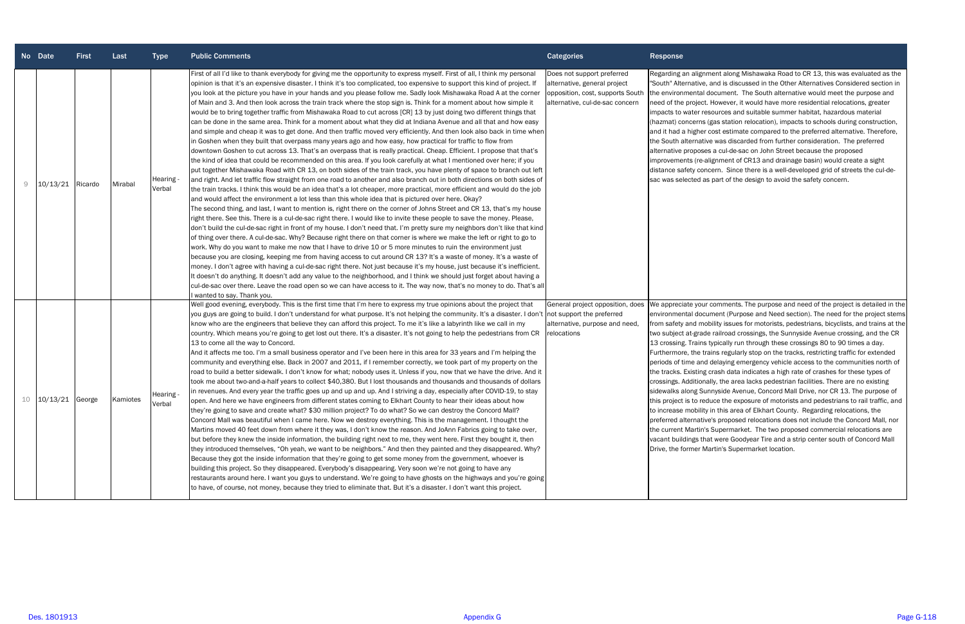|    | No Date          | <b>First</b> | Last     | <b>Type</b>         | <b>Public Comments</b>                                                                                                                                                                                                                                                                                                                                                                                                                                                                                                                                                                                                                                                                                                                                                                                                                                                                                                                                                                                                                                                                                                                                                                                                                                                                                                                                                                                                                                                                                                                                                                                                                                                                                                                                                                                                                                                                                                                                                                                                                                                                                                                                                                                                                                                                                                                                                                                                                                                                                                                                                                                                                                                                                                                                                                                                                                                                                   | <b>Categories</b>                                                                                                                 | Response                                                                                                                                                                                                                                                                                                                                                   |
|----|------------------|--------------|----------|---------------------|----------------------------------------------------------------------------------------------------------------------------------------------------------------------------------------------------------------------------------------------------------------------------------------------------------------------------------------------------------------------------------------------------------------------------------------------------------------------------------------------------------------------------------------------------------------------------------------------------------------------------------------------------------------------------------------------------------------------------------------------------------------------------------------------------------------------------------------------------------------------------------------------------------------------------------------------------------------------------------------------------------------------------------------------------------------------------------------------------------------------------------------------------------------------------------------------------------------------------------------------------------------------------------------------------------------------------------------------------------------------------------------------------------------------------------------------------------------------------------------------------------------------------------------------------------------------------------------------------------------------------------------------------------------------------------------------------------------------------------------------------------------------------------------------------------------------------------------------------------------------------------------------------------------------------------------------------------------------------------------------------------------------------------------------------------------------------------------------------------------------------------------------------------------------------------------------------------------------------------------------------------------------------------------------------------------------------------------------------------------------------------------------------------------------------------------------------------------------------------------------------------------------------------------------------------------------------------------------------------------------------------------------------------------------------------------------------------------------------------------------------------------------------------------------------------------------------------------------------------------------------------------------------------|-----------------------------------------------------------------------------------------------------------------------------------|------------------------------------------------------------------------------------------------------------------------------------------------------------------------------------------------------------------------------------------------------------------------------------------------------------------------------------------------------------|
| 9  | 10/13/21 Ricardo |              | Mirabal  | Hearing -<br>Verbal | First of all I'd like to thank everybody for giving me the opportunity to express myself. First of all, I think my personal<br>opinion is that it's an expensive disaster. I think it's too complicated, too expensive to support this kind of project. If<br>you look at the picture you have in your hands and you please follow me. Sadly look Mishawaka Road A at the corner<br>of Main and 3. And then look across the train track where the stop sign is. Think for a moment about how simple it<br>would be to bring together traffic from Mishawaka Road to cut across [CR] 13 by just doing two different things that<br>can be done in the same area. Think for a moment about what they did at Indiana Avenue and all that and how easy<br>and simple and cheap it was to get done. And then traffic moved very efficiently. And then look also back in time when<br>in Goshen when they built that overpass many years ago and how easy, how practical for traffic to flow from<br>downtown Goshen to cut across 13. That's an overpass that is really practical. Cheap. Efficient. I propose that that's<br>the kind of idea that could be recommended on this area. If you look carefully at what I mentioned over here; if you<br>put together Mishawaka Road with CR 13, on both sides of the train track, you have plenty of space to branch out left<br>and right. And let traffic flow straight from one road to another and also branch out in both directions on both sides of<br>the train tracks. I think this would be an idea that's a lot cheaper, more practical, more efficient and would do the job<br>and would affect the environment a lot less than this whole idea that is pictured over here. Okay?<br>The second thing, and last, I want to mention is, right there on the corner of Johns Street and CR 13, that's my house<br>right there. See this. There is a cul-de-sac right there. I would like to invite these people to save the money. Please,<br>don't build the cul-de-sac right in front of my house. I don't need that. I'm pretty sure my neighbors don't like that kind<br>of thing over there. A cul-de-sac. Why? Because right there on that corner is where we make the left or right to go to<br>work. Why do you want to make me now that I have to drive 10 or 5 more minutes to ruin the environment just<br>because you are closing, keeping me from having access to cut around CR 13? It's a waste of money. It's a waste of<br>money. I don't agree with having a cul-de-sac right there. Not just because it's my house, just because it's inefficient.<br>It doesn't do anything. It doesn't add any value to the neighborhood, and I think we should just forget about having a<br>cul-de-sac over there. Leave the road open so we can have access to it. The way now, that's no money to do. That's all<br>wanted to say. Thank you. | Does not support preferred<br>alternative, general project<br>opposition, cost, supports South<br>alternative, cul-de-sac concern | Regarding an aligni<br>"South" Alternative,<br>the environmental<br>need of the project<br>impacts to water re<br>(hazmat) concerns<br>and it had a higher<br>the South alternativ<br>alternative propose<br>improvements (re-a<br>distance safety con<br>sac was selected a                                                                               |
| 10 | 10/13/21 George  |              | Kamiotes | Hearing -<br>Verbal | Well good evening, everybody. This is the first time that I'm here to express my true opinions about the project that<br>you guys are going to build. I don't understand for what purpose. It's not helping the community. It's a disaster. I don't  not support the preferred<br>know who are the engineers that believe they can afford this project. To me it's like a labyrinth like we call in my<br>country. Which means you're going to get lost out there. It's a disaster. It's not going to help the pedestrians from CR<br>13 to come all the way to Concord.<br>And it affects me too. I'm a small business operator and I've been here in this area for 33 years and I'm helping the<br>community and everything else. Back in 2007 and 2011, if I remember correctly, we took part of my property on the<br>road to build a better sidewalk. I don't know for what; nobody uses it. Unless if you, now that we have the drive. And it<br>took me about two-and-a-half years to collect \$40,380. But I lost thousands and thousands and thousands of dollars<br>in revenues. And every year the traffic goes up and up and up. And I striving a day, especially after COVID-19, to stay<br>open. And here we have engineers from different states coming to Elkhart County to hear their ideas about how<br>they're going to save and create what? \$30 million project? To do what? So we can destroy the Concord Mall?<br>Concord Mall was beautiful when I came here. Now we destroy everything. This is the management. I thought the<br>Martins moved 40 feet down from where it they was, I don't know the reason. And JoAnn Fabrics going to take over,<br>but before they knew the inside information, the building right next to me, they went here. First they bought it, then<br>they introduced themselves, "Oh yeah, we want to be neighbors." And then they painted and they disappeared. Why?<br>Because they got the inside information that they're going to get some money from the government, whoever is<br>building this project. So they disappeared. Everybody's disappearing. Very soon we're not going to have any<br>restaurants around here. I want you guys to understand. We're going to have ghosts on the highways and you're going<br>to have, of course, not money, because they tried to eliminate that. But it's a disaster. I don't want this project.                                                                                                                                                                                                                                                                                                                                                                                                                                                                                                 | General project opposition, does We appreciate your<br>alternative, purpose and need,<br>relocations                              | environmental doct<br>from safety and mo<br>two subject at-grad<br>13 crossing. Trains<br>Furthermore, the tr<br>periods of time and<br>the tracks. Existing<br>crossings. Additiona<br>sidewalks along Su<br>this project is to red<br>to increase mobility<br>preferred alternativ<br>the current Martin's<br>vacant buildings th<br>Drive, the former M |

ment along Mishawaka Road to CR 13, this was evaluated as the , and is discussed in the Other Alternatives Considered section in document. The South alternative would meet the purpose and . However, it would have more residential relocations, greater esources and suitable summer habitat, hazardous material (gas station relocation), impacts to schools during construction, cost estimate compared to the preferred alternative. Therefore, ve was discarded from further consideration. The preferred es a cul-de-sac on John Street because the proposed alignment of CR13 and drainage basin) would create a sight icern. Since there is a well-developed grid of streets the cul-deas part of the design to avoid the safety concern.

comments. The purpose and need of the project is detailed in the ument (Purpose and Need section). The need for the project stems bbility issues for motorists, pedestrians, bicyclists, and trains at the le railroad crossings, the Sunnyside Avenue crossing, and the CR typically run through these crossings 80 to 90 times a day. rains regularly stop on the tracks, restricting traffic for extended I delaying emergency vehicle access to the communities north of crash data indicates a high rate of crashes for these types of ally, the area lacks pedestrian facilities. There are no existing innyside Avenue, Concord Mall Drive, nor CR 13. The purpose of duce the exposure of motorists and pedestrians to rail traffic, and y in this area of Elkhart County. Regarding relocations, the re's proposed relocations does not include the Concord Mall, nor s Supermarket. The two proposed commercial relocations are at were Goodyear Tire and a strip center south of Concord Mall lartin's Supermarket location.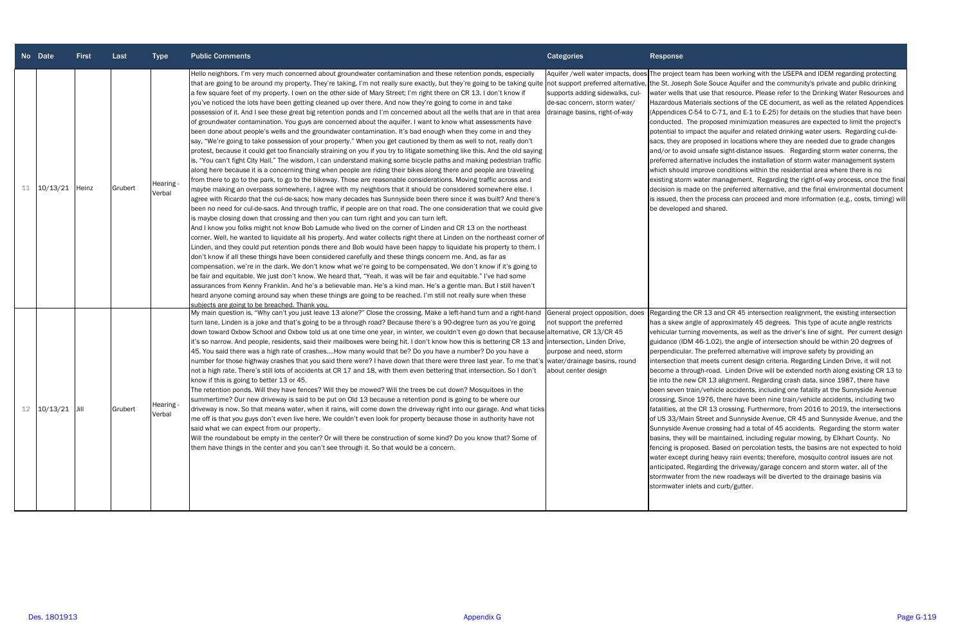| No Date             | <b>First</b> | Last    | <b>Type</b>         | <b>Public Comments</b>                                                                                                                                                                                                                                                                                                                                                                                                                                                                                                                                                                                                                                                                                                                                                                                                                                                                                                                                                                                                                                                                                                                                                                                                                                                                                                                                                                                                                                                                                                                                                                                                                                                                                                                                                                                                                                                                                                                                                                                                                                                                                                                                                                                                                                                                                                                                                                                                                                                                                                                                                                                                                                                                                                                                                                                                                                                                                                                                                                                                                            | <b>Categories</b>                                                                                                        | <b>Response</b>                                                                                                                                                                                                                                                                                                                                                                                                                                              |
|---------------------|--------------|---------|---------------------|---------------------------------------------------------------------------------------------------------------------------------------------------------------------------------------------------------------------------------------------------------------------------------------------------------------------------------------------------------------------------------------------------------------------------------------------------------------------------------------------------------------------------------------------------------------------------------------------------------------------------------------------------------------------------------------------------------------------------------------------------------------------------------------------------------------------------------------------------------------------------------------------------------------------------------------------------------------------------------------------------------------------------------------------------------------------------------------------------------------------------------------------------------------------------------------------------------------------------------------------------------------------------------------------------------------------------------------------------------------------------------------------------------------------------------------------------------------------------------------------------------------------------------------------------------------------------------------------------------------------------------------------------------------------------------------------------------------------------------------------------------------------------------------------------------------------------------------------------------------------------------------------------------------------------------------------------------------------------------------------------------------------------------------------------------------------------------------------------------------------------------------------------------------------------------------------------------------------------------------------------------------------------------------------------------------------------------------------------------------------------------------------------------------------------------------------------------------------------------------------------------------------------------------------------------------------------------------------------------------------------------------------------------------------------------------------------------------------------------------------------------------------------------------------------------------------------------------------------------------------------------------------------------------------------------------------------------------------------------------------------------------------------------------------------|--------------------------------------------------------------------------------------------------------------------------|--------------------------------------------------------------------------------------------------------------------------------------------------------------------------------------------------------------------------------------------------------------------------------------------------------------------------------------------------------------------------------------------------------------------------------------------------------------|
| $11 \quad 10/13/21$ | Heinz        | Grubert | Hearing -<br>Verbal | Hello neighbors. I'm very much concerned about groundwater contamination and these retention ponds, especially<br>that are going to be around my property. They're taking, I'm not really sure exactly, but they're going to be taking quite not support preferred alternative, the St. Joseph Sole !<br>a few square feet of my property. I own on the other side of Mary Street; I'm right there on CR 13. I don't know if<br>you've noticed the lots have been getting cleaned up over there. And now they're going to come in and take<br>possession of it. And I see these great big retention ponds and I'm concerned about all the wells that are in that area drainage basins, right-of-way<br>of groundwater contamination. You guys are concerned about the aquifer. I want to know what assessments have<br>been done about people's wells and the groundwater contamination. It's bad enough when they come in and they<br>say, "We're going to take possession of your property." When you get cautioned by them as well to not, really don't<br>protest, because it could get too financially straining on you if you try to litigate something like this. And the old saying<br>is, "You can't fight City Hall." The wisdom, I can understand making some bicycle paths and making pedestrian traffic<br>along here because it is a concerning thing when people are riding their bikes along there and people are traveling<br>from there to go to the park, to go to the bikeway. Those are reasonable considerations. Moving traffic across and<br>maybe making an overpass somewhere. I agree with my neighbors that it should be considered somewhere else. I<br>agree with Ricardo that the cul-de-sacs; how many decades has Sunnyside been there since it was built? And there's<br>been no need for cul-de-sacs. And through traffic, if people are on that road. The one consideration that we could give<br>is maybe closing down that crossing and then you can turn right and you can turn left.<br>And I know you folks might not know Bob Lamude who lived on the corner of Linden and CR 13 on the northeast<br>corner. Well, he wanted to liquidate all his property. And water collects right there at Linden on the northeast corner of<br>Linden, and they could put retention ponds there and Bob would have been happy to liquidate his property to them. I<br>don't know if all these things have been considered carefully and these things concern me. And, as far as<br>compensation, we're in the dark. We don't know what we're going to be compensated. We don't know if it's going to<br>be fair and equitable. We just don't know. We heard that, "Yeah, it was will be fair and equitable." I've had some<br>assurances from Kenny Franklin. And he's a believable man. He's a kind man. He's a gentle man. But I still haven't<br>heard anyone coming around say when these things are going to be reached. I'm still not really sure when these<br>subiects are going to be breached. Thank you. | Aquifer /well water impacts, does The project team ha<br>supports adding sidewalks, cul-<br>de-sac concern, storm water/ | water wells that use<br><b>Hazardous Materials</b><br>(Appendices C-54 to<br>conducted. The pro<br>potential to impact t<br>sacs, they are propo<br>and/or to avoid uns<br>preferred alternative<br>which should improv<br>existing storm water<br>decision is made on<br>is issued, then the p<br>be developed and sl                                                                                                                                       |
| 12 10/13/21         | IJill        | Grubert | Hearing -<br>Verbal | My main question is, "Why can't you just leave 13 alone?" Close the crossing. Make a left-hand turn and a right-hand General project opposition, does<br>turn lane. Linden is a joke and that's going to be a through road? Because there's a 90-degree turn as you're going<br>down toward Oxbow School and Oxbow told us at one time one year, in winter, we couldn't even go down that because alternative, CR 13/CR 45<br>it's so narrow. And people, residents, said their mailboxes were being hit. I don't know how this is bettering CR 13 and intersection, Linden Drive,<br>45. You said there was a high rate of crashesHow many would that be? Do you have a number? Do you have a<br>number for those highway crashes that you said there were? I have down that there were three last year. To me that's  water/drainage basins, round<br>not a high rate. There's still lots of accidents at CR 17 and 18, with them even bettering that intersection. So I don't<br>know if this is going to better 13 or 45.<br>The retention ponds. Will they have fences? Will they be mowed? Will the trees be cut down? Mosquitoes in the<br>summertime? Our new driveway is said to be put on Old 13 because a retention pond is going to be where our<br>driveway is now. So that means water, when it rains, will come down the driveway right into our garage. And what ticks<br>me off is that you guys don't even live here. We couldn't even look for property because those in authority have not<br>said what we can expect from our property.<br>Will the roundabout be empty in the center? Or will there be construction of some kind? Do you know that? Some of<br>them have things in the center and you can't see through it. So that would be a concern.                                                                                                                                                                                                                                                                                                                                                                                                                                                                                                                                                                                                                                                                                                                                                                                                                                                                                                                                                                                                                                                                                                                                                                                                                                                                     | not support the preferred<br>purpose and need, storm<br>about center design                                              | Regarding the CR 13<br>has a skew angle of<br>vehicular turning mo<br>guidance (IDM 46-1<br>perpendicular. The p<br>intersection that me<br>become a through-ro<br>tie into the new CR :<br>been seven train/ve<br>crossing. Since 197<br>fatalities, at the CR<br>of US 33/Main Stree<br>Sunnyside Avenue c<br>basins, they will be r<br>fencing is proposed.<br>water except during<br>anticipated. Regardi<br>stormwater from the<br>stormwater inlets ar |

as been working with the USEPA and IDEM regarding protecting Souce Aquifer and the community's private and public drinking that resource. Please refer to the Drinking Water Resources and Is sections of the CE document, as well as the related Appendices (C-71, and E-1 to E-25) for details on the studies that have been posed minimization measures are expected to limit the project's the aquifer and related drinking water users. Regarding cul-deosed in locations where they are needed due to grade changes afe sight-distance issues. Regarding storm water conerns, the e includes the installation of storm water management system ve conditions within the residential area where there is no management. Regarding the right-of-way process, once the final the preferred alternative, and the final environmental document is is isome proceed and more information (e.g., costs, timing) will hared.

3 and CR 45 intersection realignment, the existing intersection approximately 45 degrees. This type of acute angle restricts ovements, as well as the driver's line of sight. Per current design .02), the angle of intersection should be within 20 degrees of preferred alternative will improve safety by providing an eets current design criteria. Regarding Linden Drive, it will not oad. Linden Drive will be extended north along existing CR 13 to 13 alignment. Regarding crash data, since 1987, there have ehicle accidents, including one fatality at the Sunnyside Avenue <sup>7</sup>6, there have been nine train/vehicle accidents, including two 13 crossing. Furthermore, from 2016 to 2019, the intersections et and Sunnyside Avenue, CR 45 and Sunnyside Avenue, and the rossing had a total of 45 accidents. Regarding the storm water maintained, including regular mowing, by Elkhart County. No . Based on percolation tests, the basins are not expected to hold heavy rain events; therefore, mosquito control issues are not ing the driveway/garage concern and storm water, all of the enew roadways will be diverted to the drainage basins via nd curb/gutter.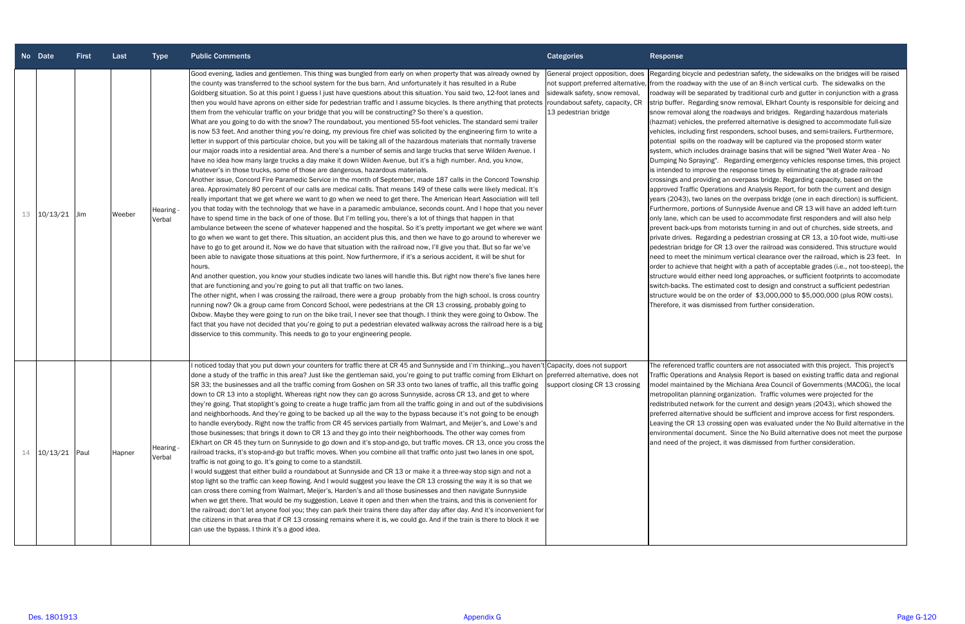|    | No Date  | <b>First</b> | Last   | <b>Type</b>         | <b>Public Comments</b>                                                                                                                                                                                                                                                                                                                                                                                                                                                                                                                                                                                                                                                                                                                                                                                                                                                                                                                                                                                                                                                                                                                                                                                                                                                                                                                                                                                                                                                                                                                                                                                                                                                                                                                                                                                                                                                                                                                                                                                                                                                                                                                                                                                                                                                                                                                                                                                                                                                                                                                                                                                                                                                                                                                                                                                                                                                                                                                                                                                                                                                                                                                                                                                           | <b>Categories</b>                                                                                                                                                                       | Response                                                                                                                                                                                                                                                                                                                                                                                                                                                                                                                                                                                   |
|----|----------|--------------|--------|---------------------|------------------------------------------------------------------------------------------------------------------------------------------------------------------------------------------------------------------------------------------------------------------------------------------------------------------------------------------------------------------------------------------------------------------------------------------------------------------------------------------------------------------------------------------------------------------------------------------------------------------------------------------------------------------------------------------------------------------------------------------------------------------------------------------------------------------------------------------------------------------------------------------------------------------------------------------------------------------------------------------------------------------------------------------------------------------------------------------------------------------------------------------------------------------------------------------------------------------------------------------------------------------------------------------------------------------------------------------------------------------------------------------------------------------------------------------------------------------------------------------------------------------------------------------------------------------------------------------------------------------------------------------------------------------------------------------------------------------------------------------------------------------------------------------------------------------------------------------------------------------------------------------------------------------------------------------------------------------------------------------------------------------------------------------------------------------------------------------------------------------------------------------------------------------------------------------------------------------------------------------------------------------------------------------------------------------------------------------------------------------------------------------------------------------------------------------------------------------------------------------------------------------------------------------------------------------------------------------------------------------------------------------------------------------------------------------------------------------------------------------------------------------------------------------------------------------------------------------------------------------------------------------------------------------------------------------------------------------------------------------------------------------------------------------------------------------------------------------------------------------------------------------------------------------------------------------------------------------|-----------------------------------------------------------------------------------------------------------------------------------------------------------------------------------------|--------------------------------------------------------------------------------------------------------------------------------------------------------------------------------------------------------------------------------------------------------------------------------------------------------------------------------------------------------------------------------------------------------------------------------------------------------------------------------------------------------------------------------------------------------------------------------------------|
| 13 | 10/13/21 | Jim          | Weeber | Hearing -<br>Verbal | Good evening, ladies and gentlemen. This thing was bungled from early on when property that was already owned by<br>the county was transferred to the school system for the bus barn. And unfortunately it has resulted in a Rube<br>Goldberg situation. So at this point I guess I just have questions about this situation. You said two, 12-foot lanes and<br>then you would have aprons on either side for pedestrian traffic and I assume bicycles. Is there anything that protects<br>them from the vehicular traffic on your bridge that you will be constructing? So there's a question.<br>What are you going to do with the snow? The roundabout, you mentioned 55-foot vehicles. The standard semi trailer<br>is now 53 feet. And another thing you're doing, my previous fire chief was solicited by the engineering firm to write a<br>letter in support of this particular choice, but you will be taking all of the hazardous materials that normally traverse<br>our major roads into a residential area. And there's a number of semis and large trucks that serve Wilden Avenue. I<br>have no idea how many large trucks a day make it down Wilden Avenue, but it's a high number. And, you know,<br>whatever's in those trucks, some of those are dangerous, hazardous materials.<br>Another issue, Concord Fire Paramedic Service in the month of September, made 187 calls in the Concord Township<br>area. Approximately 80 percent of our calls are medical calls. That means 149 of these calls were likely medical. It's<br>really important that we get where we want to go when we need to get there. The American Heart Association will tell<br>you that today with the technology that we have in a paramedic ambulance, seconds count. And I hope that you never<br>have to spend time in the back of one of those. But I'm telling you, there's a lot of things that happen in that<br>ambulance between the scene of whatever happened and the hospital. So it's pretty important we get where we want<br>to go when we want to get there. This situation, an accident plus this, and then we have to go around to wherever we<br>have to go to get around it. Now we do have that situation with the railroad now, I'll give you that. But so far we've<br>been able to navigate those situations at this point. Now furthermore, if it's a serious accident, it will be shut for<br>hours.<br>And another question, you know your studies indicate two lanes will handle this. But right now there's five lanes here<br>that are functioning and you're going to put all that traffic on two lanes.<br>The other night, when I was crossing the railroad, there were a group probably from the high school. Is cross country<br>running now? Ok a group came from Concord School, were pedestrians at the CR 13 crossing, probably going to<br>Oxbow. Maybe they were going to run on the bike trail, I never see that though. I think they were going to Oxbow. The<br>fact that you have not decided that you're going to put a pedestrian elevated walkway across the railroad here is a big<br>disservice to this community. This needs to go to your engineering people. | General project opposition, does<br>not support preferred alternative, from the roadway wi<br>sidewalk safety, snow removal,<br>roundabout safety, capacity, CR<br>13 pedestrian bridge | Regarding bicycle ar<br>roadway will be sepa<br>strip buffer. Regard<br>snow removal along<br>(hazmat) vehicles, tl<br>vehicles, including f<br>potential spills on tl<br>system, which includ<br>Dumping No Sprayir<br>is intended to impro<br>crossings and provid<br>approved Traffic Op<br>years (2043), two la<br>Furthermore, portion<br>only lane, which car<br>prevent back-ups fro<br>private drives. Rega<br>pedestrian bridge fo<br>need to meet the m<br>order to achieve tha<br>structure would eith<br>switch-backs. The es<br>structure would be o<br>Therefore, it was dis |
| 14 | 10/13/21 | Paul         | Hapner | Hearing -<br>Verbal | noticed today that you put down your counters for traffic there at CR 45 and Sunnyside and I'm thinkingyou haven't Capacity, does not support<br>done a study of the traffic in this area? Just like the gentleman said, you're going to put traffic coming from Elkhart on<br>SR 33; the businesses and all the traffic coming from Goshen on SR 33 onto two lanes of traffic, all this traffic going<br>down to CR 13 into a stoplight. Whereas right now they can go across Sunnyside, across CR 13, and get to where<br>they're going. That stoplight's going to create a huge traffic jam from all the traffic going in and out of the subdivisions<br>and neighborhoods. And they're going to be backed up all the way to the bypass because it's not going to be enough<br>to handle everybody. Right now the traffic from CR 45 services partially from Walmart, and Meijer's, and Lowe's and<br>those businesses; that brings it down to CR 13 and they go into their neighborhoods. The other way comes from<br>Elkhart on CR 45 they turn on Sunnyside to go down and it's stop-and-go, but traffic moves. CR 13, once you cross the<br>railroad tracks, it's stop-and-go but traffic moves. When you combine all that traffic onto just two lanes in one spot,<br>traffic is not going to go. It's going to come to a standstill.<br>I would suggest that either build a roundabout at Sunnyside and CR 13 or make it a three-way stop sign and not a<br>stop light so the traffic can keep flowing. And I would suggest you leave the CR 13 crossing the way it is so that we<br>can cross there coming from Walmart, Meijer's, Harden's and all those businesses and then navigate Sunnyside<br>when we get there. That would be my suggestion. Leave it open and then when the trains, and this is convenient for<br>the railroad; don't let anyone fool you; they can park their trains there day after day after day. And it's inconvenient for<br>the citizens in that area that if CR 13 crossing remains where it is, we could go. And if the train is there to block it we<br>can use the bypass. I think it's a good idea.                                                                                                                                                                                                                                                                                                                                                                                                                                                                                                                                                                                                                                                                                                                                                                                                                                                                                                                                                                                                                                                                 | preferred alternative, does not<br>support closing CR 13 crossing                                                                                                                       | The referenced traff<br>Traffic Operations a<br>model maintained b<br>metropolitan plannii<br>redistributed networ<br>preferred alternative<br>Leaving the CR 13 c<br>environmental docu<br>and need of the pro                                                                                                                                                                                                                                                                                                                                                                            |

nd pedestrian safety, the sidewalks on the bridges will be raised vith the use of an 8-inch vertical curb. The sidewalks on the arated by traditional curb and gutter in conjunction with a grass ding snow removal, Elkhart County is responsible for deicing and the roadways and bridges. Regarding hazardous materials the preferred alternative is designed to accommodate full-size first responders, school buses, and semi-trailers. Furthermore, the roadway will be captured via the proposed storm water system, which includes drainage basins that will be signed "Well Water Area - No Dumping No Spraying". Regarding emergency vehicles response times, this project is intended to improve the response times by eliminating the at-grade railroad crossings and providing an overpass bridge. Regarding capacity, based on the berations and Analysis Report, for both the current and design years (2043), two lanes on the overpass bridge (one in each direction) is sufficient. ons of Sunnyside Avenue and CR 13 will have an added left-turn be used to accommodate first responders and will also help prevent back-ups from motorists turning in and out of churches, side streets, and private drives. Regarding a pedestrian crossing at CR 13, a 10-foot wide, multi-use pedestrian bridge for CR 13 over the railroad was considered. This structure would ninimum vertical clearance over the railroad, which is 23 feet. In at height with a path of acceptable grades (i.e., not too-steep), the her need long approaches, or sufficient footprints to accomodate estimated cost to design and construct a sufficient pedestrian be on the order of \$3,000,000 to \$5,000,000 (plus ROW costs). smissed from further consideration.

> fic counters are not associated with this project. This project's Ind Analysis Report is based on existing traffic data and regional by the Michiana Area Council of Governments (MACOG), the local ing organization. Traffic volumes were projected for the rk for the current and design years (2043), which showed the e should be sufficient and improve access for first responders. crossing open was evaluated under the No Build alternative in the iment. Since the No Build alternative does not meet the purpose ject, it was dismissed from further consideration.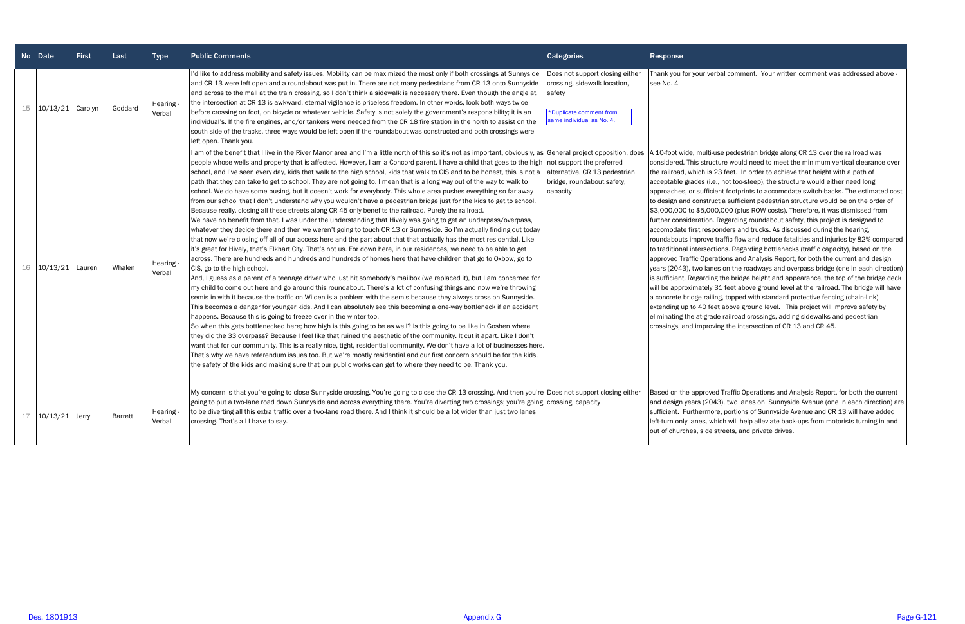|    | No Date           | <b>First</b> | Last    | <b>Type</b>         | <b>Public Comments</b>                                                                                                                                                                                                                                                                                                                                                                                                                                                                                                                                                                                                                                                                                                                                                                                                                                                                                                                                                                                                                                                                                                                                                                                                                                                                                                                                                                                                                                                                                                                                                                                                                                                                                                                                                                                                                                                                                                                                                                                                                                                                                                                                                                                                                                                                                                                                                                                                                                                                                                                                                                                                                                                                                                                                          | <b>Categories</b>                                                                                                                | <b>Response</b>                                                                                                                                                                                                                                                                                                                                                                                                                                                                                                                                                                                                                                                                                                                                                                                                                                                                                                                                                                                                                                                                                                                                                                                                                                                                                                                                                                                                                                                                                                                                                                                                                        |
|----|-------------------|--------------|---------|---------------------|-----------------------------------------------------------------------------------------------------------------------------------------------------------------------------------------------------------------------------------------------------------------------------------------------------------------------------------------------------------------------------------------------------------------------------------------------------------------------------------------------------------------------------------------------------------------------------------------------------------------------------------------------------------------------------------------------------------------------------------------------------------------------------------------------------------------------------------------------------------------------------------------------------------------------------------------------------------------------------------------------------------------------------------------------------------------------------------------------------------------------------------------------------------------------------------------------------------------------------------------------------------------------------------------------------------------------------------------------------------------------------------------------------------------------------------------------------------------------------------------------------------------------------------------------------------------------------------------------------------------------------------------------------------------------------------------------------------------------------------------------------------------------------------------------------------------------------------------------------------------------------------------------------------------------------------------------------------------------------------------------------------------------------------------------------------------------------------------------------------------------------------------------------------------------------------------------------------------------------------------------------------------------------------------------------------------------------------------------------------------------------------------------------------------------------------------------------------------------------------------------------------------------------------------------------------------------------------------------------------------------------------------------------------------------------------------------------------------------------------------------------------------|----------------------------------------------------------------------------------------------------------------------------------|----------------------------------------------------------------------------------------------------------------------------------------------------------------------------------------------------------------------------------------------------------------------------------------------------------------------------------------------------------------------------------------------------------------------------------------------------------------------------------------------------------------------------------------------------------------------------------------------------------------------------------------------------------------------------------------------------------------------------------------------------------------------------------------------------------------------------------------------------------------------------------------------------------------------------------------------------------------------------------------------------------------------------------------------------------------------------------------------------------------------------------------------------------------------------------------------------------------------------------------------------------------------------------------------------------------------------------------------------------------------------------------------------------------------------------------------------------------------------------------------------------------------------------------------------------------------------------------------------------------------------------------|
| 15 | 10/13/21 Carolyn  |              | Goddard | Hearing -<br>Verbal | I'd like to address mobility and safety issues. Mobility can be maximized the most only if both crossings at Sunnyside<br>and CR 13 were left open and a roundabout was put in. There are not many pedestrians from CR 13 onto Sunnyside<br>and across to the mall at the train crossing, so I don't think a sidewalk is necessary there. Even though the angle at<br>the intersection at CR 13 is awkward, eternal vigilance is priceless freedom. In other words, look both ways twice<br>before crossing on foot, on bicycle or whatever vehicle. Safety is not solely the government's responsibility; it is an<br>individual's. If the fire engines, and/or tankers were needed from the CR 18 fire station in the north to assist on the<br>south side of the tracks, three ways would be left open if the roundabout was constructed and both crossings were<br>left open. Thank you.                                                                                                                                                                                                                                                                                                                                                                                                                                                                                                                                                                                                                                                                                                                                                                                                                                                                                                                                                                                                                                                                                                                                                                                                                                                                                                                                                                                                                                                                                                                                                                                                                                                                                                                                                                                                                                                                    | Does not support closing either<br>crossing, sidewalk location,<br>safety<br>Duplicate comment from<br>same individual as No. 4. | Thank you for your verbal comment. Your written comment was addressed above -<br>see No. 4                                                                                                                                                                                                                                                                                                                                                                                                                                                                                                                                                                                                                                                                                                                                                                                                                                                                                                                                                                                                                                                                                                                                                                                                                                                                                                                                                                                                                                                                                                                                             |
| 16 | $10/13/21$ Lauren |              | Whalen  | Hearing<br>Verbal   | I am of the benefit that I live in the River Manor area and I'm a little north of this so it's not as important, obviously, as General project opposition, does<br>people whose wells and property that is affected. However, I am a Concord parent. I have a child that goes to the high not support the preferred<br>school, and I've seen every day, kids that walk to the high school, kids that walk to CIS and to be honest, this is not a<br>path that they can take to get to school. They are not going to. I mean that is a long way out of the way to walk to<br>school. We do have some busing, but it doesn't work for everybody. This whole area pushes everything so far away<br>from our school that I don't understand why you wouldn't have a pedestrian bridge just for the kids to get to school.<br>Because really, closing all these streets along CR 45 only benefits the railroad. Purely the railroad.<br>We have no benefit from that. I was under the understanding that Hively was going to get an underpass/overpass,<br>whatever they decide there and then we weren't going to touch CR 13 or Sunnyside. So I'm actually finding out today<br>that now we're closing off all of our access here and the part about that that actually has the most residential. Like<br>it's great for Hively, that's Elkhart City. That's not us. For down here, in our residences, we need to be able to get<br>across. There are hundreds and hundreds and hundreds of homes here that have children that go to Oxbow, go to<br>CIS, go to the high school.<br>And, I guess as a parent of a teenage driver who just hit somebody's mailbox (we replaced it), but I am concerned for<br>my child to come out here and go around this roundabout. There's a lot of confusing things and now we're throwing<br>semis in with it because the traffic on Wilden is a problem with the semis because they always cross on Sunnyside.<br>This becomes a danger for younger kids. And I can absolutely see this becoming a one-way bottleneck if an accident<br>happens. Because this is going to freeze over in the winter too.<br>So when this gets bottlenecked here; how high is this going to be as well? Is this going to be like in Goshen where<br>they did the 33 overpass? Because I feel like that ruined the aesthetic of the community. It cut it apart. Like I don't<br>want that for our community. This is a really nice, tight, residential community. We don't have a lot of businesses here.<br>That's why we have referendum issues too. But we're mostly residential and our first concern should be for the kids,<br>the safety of the kids and making sure that our public works can get to where they need to be. Thank you. | alternative, CR 13 pedestrian<br>bridge, roundabout safety,<br>capacity                                                          | A 10-foot wide, multi-use pedestrian bridge along CR 13 over the railroad was<br>considered. This structure would need to meet the minimum vertical clearance over<br>the railroad, which is 23 feet. In order to achieve that height with a path of<br>acceptable grades (i.e., not too-steep), the structure would either need long<br>approaches, or sufficient footprints to accomodate switch-backs. The estimated cost<br>to design and construct a sufficient pedestrian structure would be on the order of<br>\$3,000,000 to \$5,000,000 (plus ROW costs). Therefore, it was dismissed from<br>further consideration. Regarding roundabout safety, this project is designed to<br>accomodate first responders and trucks. As discussed during the hearing,<br>roundabouts improve traffic flow and reduce fatalities and injuries by 82% compared<br>to traditional intersections. Regarding bottlenecks (traffic capacity), based on the<br>approved Traffic Operations and Analysis Report, for both the current and design<br>years (2043), two lanes on the roadways and overpass bridge (one in each direction)<br>is sufficient. Regarding the bridge height and appearance, the top of the bridge deck<br>will be approximately 31 feet above ground level at the railroad. The bridge will have<br>a concrete bridge railing, topped with standard protective fencing (chain-link)<br>extending up to 40 feet above ground level. This project will improve safety by<br>eliminating the at-grade railroad crossings, adding sidewalks and pedestrian<br>crossings, and improving the intersection of CR 13 and CR 45. |
|    | 17 10/13/21 Jerry |              | Barrett | Hearing -<br>Verbal | My concern is that you're going to close Sunnyside crossing. You're going to close the CR 13 crossing. And then you're Does not support closing either<br>going to put a two-lane road down Sunnyside and across everything there. You're diverting two crossings; you're going crossing, capacity<br>to be diverting all this extra traffic over a two-lane road there. And I think it should be a lot wider than just two lanes<br>crossing. That's all I have to say.                                                                                                                                                                                                                                                                                                                                                                                                                                                                                                                                                                                                                                                                                                                                                                                                                                                                                                                                                                                                                                                                                                                                                                                                                                                                                                                                                                                                                                                                                                                                                                                                                                                                                                                                                                                                                                                                                                                                                                                                                                                                                                                                                                                                                                                                                        |                                                                                                                                  | Based on the approved Traffic Operations and Analysis Report, for both the current<br>and design years (2043), two lanes on Sunnyside Avenue (one in each direction) are<br>sufficient. Furthermore, portions of Sunnyside Avenue and CR 13 will have added<br>left-turn only lanes, which will help alleviate back-ups from motorists turning in and<br>out of churches, side streets, and private drives.                                                                                                                                                                                                                                                                                                                                                                                                                                                                                                                                                                                                                                                                                                                                                                                                                                                                                                                                                                                                                                                                                                                                                                                                                            |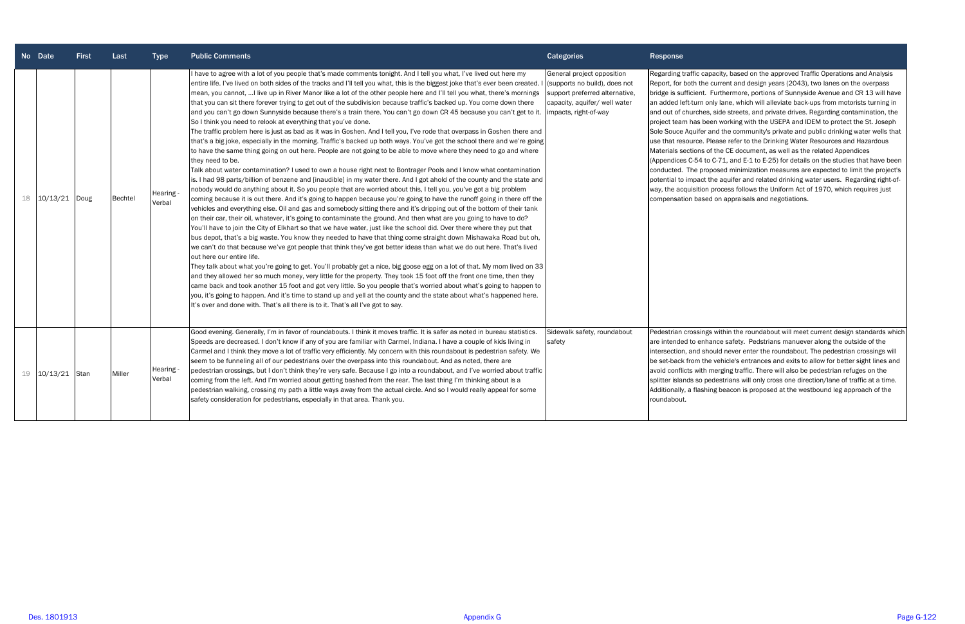|    | No Date  | <b>First</b> | Last           | <b>Type</b>         | <b>Public Comments</b>                                                                                                                                                                                                                                                                                                                                                                                                                                                                                                                                                                                                                                                                                                                                                                                                                                                                                                                                                                                                                                                                                                                                                                                                                                                                                                                                                                                                                                                                                                                                                                                                                                                                                                                                                                                                                                                                                                                                                                                                                                                                                                                                                                                                                                                                                                                                                                                                                                                                                                                                                                                                                                                                                                                                                                                                                              | <b>Categories</b>                                                                                                                                       | Response                                                                                                                                                                                                                                                                                                                     |
|----|----------|--------------|----------------|---------------------|-----------------------------------------------------------------------------------------------------------------------------------------------------------------------------------------------------------------------------------------------------------------------------------------------------------------------------------------------------------------------------------------------------------------------------------------------------------------------------------------------------------------------------------------------------------------------------------------------------------------------------------------------------------------------------------------------------------------------------------------------------------------------------------------------------------------------------------------------------------------------------------------------------------------------------------------------------------------------------------------------------------------------------------------------------------------------------------------------------------------------------------------------------------------------------------------------------------------------------------------------------------------------------------------------------------------------------------------------------------------------------------------------------------------------------------------------------------------------------------------------------------------------------------------------------------------------------------------------------------------------------------------------------------------------------------------------------------------------------------------------------------------------------------------------------------------------------------------------------------------------------------------------------------------------------------------------------------------------------------------------------------------------------------------------------------------------------------------------------------------------------------------------------------------------------------------------------------------------------------------------------------------------------------------------------------------------------------------------------------------------------------------------------------------------------------------------------------------------------------------------------------------------------------------------------------------------------------------------------------------------------------------------------------------------------------------------------------------------------------------------------------------------------------------------------------------------------------------------------|---------------------------------------------------------------------------------------------------------------------------------------------------------|------------------------------------------------------------------------------------------------------------------------------------------------------------------------------------------------------------------------------------------------------------------------------------------------------------------------------|
| 18 | 10/13/21 | Doug         | <b>Bechtel</b> | Hearing -<br>Verbal | I have to agree with a lot of you people that's made comments tonight. And I tell you what, I've lived out here my<br>entire life. I've lived on both sides of the tracks and I'll tell you what, this is the biggest joke that's ever been created. I<br>mean, you cannot,  I live up in River Manor like a lot of the other people here and I'll tell you what, there's mornings<br>that you can sit there forever trying to get out of the subdivision because traffic's backed up. You come down there<br>and you can't go down Sunnyside because there's a train there. You can't go down CR 45 because you can't get to it.<br>So I think you need to relook at everything that you've done.<br>The traffic problem here is just as bad as it was in Goshen. And I tell you, I've rode that overpass in Goshen there and<br>that's a big joke, especially in the morning. Traffic's backed up both ways. You've got the school there and we're going<br>to have the same thing going on out here. People are not going to be able to move where they need to go and where<br>they need to be.<br>Talk about water contamination? I used to own a house right next to Bontrager Pools and I know what contamination<br>is. I had 98 parts/billion of benzene and [inaudible] in my water there. And I got ahold of the county and the state and<br>nobody would do anything about it. So you people that are worried about this, I tell you, you've got a big problem<br>coming because it is out there. And it's going to happen because you're going to have the runoff going in there off the<br>vehicles and everything else. Oil and gas and somebody sitting there and it's dripping out of the bottom of their tank<br>on their car, their oil, whatever, it's going to contaminate the ground. And then what are you going to have to do?<br>You'll have to join the City of Elkhart so that we have water, just like the school did. Over there where they put that<br>bus depot, that's a big waste. You know they needed to have that thing come straight down Mishawaka Road but oh,<br>we can't do that because we've got people that think they've got better ideas than what we do out here. That's lived<br>out here our entire life.<br>They talk about what you're going to get. You'll probably get a nice, big goose egg on a lot of that. My mom lived on 33<br>and they allowed her so much money, very little for the property. They took 15 foot off the front one time, then they<br>came back and took another 15 foot and got very little. So you people that's worried about what's going to happen to<br>you, it's going to happen. And it's time to stand up and yell at the county and the state about what's happened here.<br>It's over and done with. That's all there is to it. That's all I've got to say. | General project opposition<br>(supports no build), does not<br>support preferred alternative,<br>capacity, aquifer/ well water<br>impacts, right-of-way | Regarding traffic ca<br>Report, for both the<br>bridge is sufficient.<br>an added left-turn o<br>and out of churche<br>project team has be<br>Sole Souce Aquifer<br>use that resource.<br>Materials sections<br>(Appendices C-54 t<br>conducted. The pro<br>potential to impact<br>way, the acquisitior<br>compensation base |
| 19 | 10/13/21 | <b>Stan</b>  | Miller         | Hearing -<br>Verbal | Good evening. Generally, I'm in favor of roundabouts. I think it moves traffic. It is safer as noted in bureau statistics.<br>Speeds are decreased. I don't know if any of you are familiar with Carmel, Indiana. I have a couple of kids living in<br>Carmel and I think they move a lot of traffic very efficiently. My concern with this roundabout is pedestrian safety. We<br>seem to be funneling all of our pedestrians over the overpass into this roundabout. And as noted, there are<br>pedestrian crossings, but I don't think they're very safe. Because I go into a roundabout, and I've worried about traffic<br>coming from the left. And I'm worried about getting bashed from the rear. The last thing I'm thinking about is a<br>pedestrian walking, crossing my path a little ways away from the actual circle. And so I would really appeal for some<br>safety consideration for pedestrians, especially in that area. Thank you.                                                                                                                                                                                                                                                                                                                                                                                                                                                                                                                                                                                                                                                                                                                                                                                                                                                                                                                                                                                                                                                                                                                                                                                                                                                                                                                                                                                                                                                                                                                                                                                                                                                                                                                                                                                                                                                                                               | Sidewalk safety, roundabout<br>safety                                                                                                                   | Pedestrian crossing<br>are intended to enl<br>intersection, and sl<br>be set-back from the<br>avoid conflicts with<br>splitter islands so p<br>Additionally, a flash<br>roundabout.                                                                                                                                          |

apacity, based on the approved Traffic Operations and Analysis e current and design years (2043), two lanes on the overpass Furthermore, portions of Sunnyside Avenue and CR 13 will have only lane, which will alleviate back-ups from motorists turning in es, side streets, and private drives. Regarding contamination, the een working with the USEPA and IDEM to protect the St. Joseph and the community's private and public drinking water wells that Please refer to the Drinking Water Resources and Hazardous of the CE document, as well as the related Appendices to C-71, and E-1 to E-25) for details on the studies that have been oposed minimization measures are expected to limit the project's the aquifer and related drinking water users. Regarding right-ofin process follows the Uniform Act of 1970, which requires just ed on appraisals and negotiations.

gs within the roundabout will meet current design standards which hance safety. Pedstrians manuever along the outside of the hould never enter the roundabout. The pedestrian crossings will he vehicle's entrances and exits to allow for better sight lines and  $\alpha$  merging traffic. There will also be pedestrian refuges on the bedestrians will only cross one direction/lane of traffic at a time. hing beacon is proposed at the westbound leg approach of the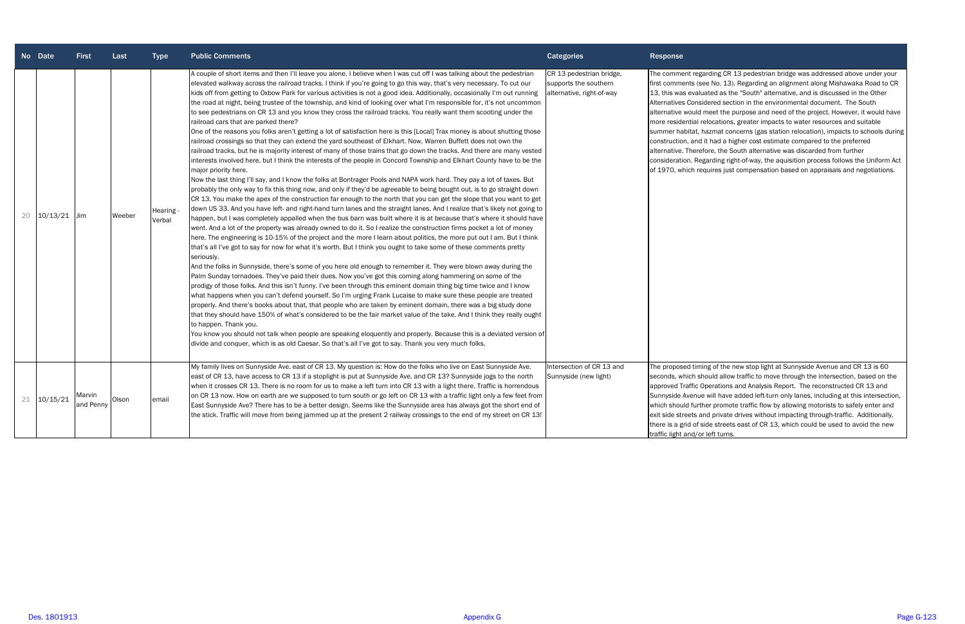|    | No Date     | <b>First</b>        | Last   | <b>Type</b>         | <b>Public Comments</b>                                                                                                                                                                                                                                                                                                                                                                                                                                                                                                                                                                                                                                                                                                                                                                                                                                                                                                                                                                                                                                                                                                                                                                                                                                                                                                                                                                                                                                                                                                                                                                                                                                                                                                                                                                                                                                                                                                                                                                                                                                                                                                                                                                                                                                                                                                                                                                                                                                                                                                                                                                                                                                                                                                                                                                                                                                                                                                                                                                                                                                                                                                                                                                                    | <b>Categories</b>                                                              | Response                                                                                                                                                                                                                                                   |
|----|-------------|---------------------|--------|---------------------|-----------------------------------------------------------------------------------------------------------------------------------------------------------------------------------------------------------------------------------------------------------------------------------------------------------------------------------------------------------------------------------------------------------------------------------------------------------------------------------------------------------------------------------------------------------------------------------------------------------------------------------------------------------------------------------------------------------------------------------------------------------------------------------------------------------------------------------------------------------------------------------------------------------------------------------------------------------------------------------------------------------------------------------------------------------------------------------------------------------------------------------------------------------------------------------------------------------------------------------------------------------------------------------------------------------------------------------------------------------------------------------------------------------------------------------------------------------------------------------------------------------------------------------------------------------------------------------------------------------------------------------------------------------------------------------------------------------------------------------------------------------------------------------------------------------------------------------------------------------------------------------------------------------------------------------------------------------------------------------------------------------------------------------------------------------------------------------------------------------------------------------------------------------------------------------------------------------------------------------------------------------------------------------------------------------------------------------------------------------------------------------------------------------------------------------------------------------------------------------------------------------------------------------------------------------------------------------------------------------------------------------------------------------------------------------------------------------------------------------------------------------------------------------------------------------------------------------------------------------------------------------------------------------------------------------------------------------------------------------------------------------------------------------------------------------------------------------------------------------------------------------------------------------------------------------------------------------|--------------------------------------------------------------------------------|------------------------------------------------------------------------------------------------------------------------------------------------------------------------------------------------------------------------------------------------------------|
| 20 | 10/13/21    | <b>Jim</b>          | Weeber | Hearing -<br>Verbal | A couple of short items and then I'll leave you alone. I believe when I was cut off I was talking about the pedestrian<br>elevated walkway across the railroad tracks. I think if you're going to go this way, that's very necessary. To cut our<br>kids off from getting to Oxbow Park for various activities is not a good idea. Additionally, occasionally I'm out running<br>the road at night, being trustee of the township, and kind of looking over what I'm responsible for, it's not uncommon<br>to see pedestrians on CR 13 and you know they cross the railroad tracks. You really want them scooting under the<br>railroad cars that are parked there?<br>One of the reasons you folks aren't getting a lot of satisfaction here is this [Local] Trax money is about shutting those<br>railroad crossings so that they can extend the yard southeast of Elkhart. Now, Warren Buffett does not own the<br>railroad tracks, but he is majority interest of many of those trains that go down the tracks. And there are many vested<br>interests involved here, but I think the interests of the people in Concord Township and Elkhart County have to be the<br>major priority here.<br>Now the last thing I'll say, and I know the folks at Bontrager Pools and NAPA work hard. They pay a lot of taxes. But<br>probably the only way to fix this thing now, and only if they'd be agreeable to being bought out, is to go straight down<br>CR 13. You make the apex of the construction far enough to the north that you can get the slope that you want to get<br>down US 33. And you have left- and right-hand turn lanes and the straight lanes. And I realize that's likely not going to<br>happen, but I was completely appalled when the bus barn was built where it is at because that's where it should have<br>went. And a lot of the property was already owned to do it. So I realize the construction firms pocket a lot of money<br>here. The engineering is 10-15% of the project and the more I learn about politics, the more put out I am. But I think<br>that's all I've got to say for now for what it's worth. But I think you ought to take some of these comments pretty<br>seriously.<br>And the folks in Sunnyside, there's some of you here old enough to remember it. They were blown away during the<br>Palm Sunday tornadoes. They've paid their dues. Now you've got this coming along hammering on some of the<br>prodigy of those folks. And this isn't funny. I've been through this eminent domain thing big time twice and I know<br>what happens when you can't defend yourself. So I'm urging Frank Lucaise to make sure these people are treated<br>properly. And there's books about that, that people who are taken by eminent domain, there was a big study done<br>that they should have 150% of what's considered to be the fair market value of the take. And I think they really ought<br>to happen. Thank you.<br>You know you should not talk when people are speaking eloquently and properly. Because this is a deviated version of<br>divide and conquer, which is as old Caesar. So that's all I've got to say. Thank you very much folks. | CR 13 pedestrian bridge,<br>supports the southern<br>alternative, right-of-way | The comment regar<br>first comments (see<br>13, this was evalua<br>Alternatives Conside<br>alternative would m<br>more residential rel<br>summer habitat, ha<br>construction, and it<br>alternative. Therefo<br>consideration. Rega<br>of 1970, which requ |
|    | 21 10/15/21 | Marvin<br>and Penny | Olson  | email               | My family lives on Sunnyside Ave. east of CR 13. My question is: How do the folks who live on East Sunnyside Ave.<br>east of CR 13, have access to CR 13 if a stoplight is put at Sunnyside Ave. and CR 13? Sunnyside jogs to the north<br>when it crosses CR 13. There is no room for us to make a left turn into CR 13 with a light there. Traffic is horrendous<br>on CR 13 now. How on earth are we supposed to turn south or go left on CR 13 with a traffic light only a few feet from<br>East Sunnyside Ave? There has to be a better design. Seems like the Sunnyside area has always got the short end of<br>the stick. Traffic will move from being jammed up at the present 2 railway crossings to the end of my street on CR 13!                                                                                                                                                                                                                                                                                                                                                                                                                                                                                                                                                                                                                                                                                                                                                                                                                                                                                                                                                                                                                                                                                                                                                                                                                                                                                                                                                                                                                                                                                                                                                                                                                                                                                                                                                                                                                                                                                                                                                                                                                                                                                                                                                                                                                                                                                                                                                                                                                                                              | Intersection of CR 13 and<br>Sunnyside (new light)                             | The proposed timing<br>seconds, which sho<br>approved Traffic Op<br>Sunnyside Avenue v<br>which should furthe<br>exit side streets and<br>there is a grid of sid<br>traffic light and/or le                                                                |

rding CR 13 pedestrian bridge was addressed above under your e No. 13). Regarding an alignment along Mishawaka Road to CR ated as the "South" alternative, and is discussed in the Other Alternatives Considered section in the environmental document. The South neet the purpose and need of the project. However, it would have locations, greater impacts to water resources and suitable azmat concerns (gas station relocation), impacts to schools during t had a higher cost estimate compared to the preferred bre, the South alternative was discarded from further arding right-of-way, the aquisition process follows the Uniform Act uires just compensation based on appraisals and negotiations.

> Ig of the new stop light at Sunnyside Avenue and CR 13 is 60 buld allow traffic to move through the intersection, based on the berations and Analysis Report. The reconstructed CR 13 and will have added left-turn only lanes, including at this intersection, er promote traffic flow by allowing motorists to safely enter and d private drives without impacting through-traffic. Additionally, de streets east of CR 13, which could be used to avoid the new left turns.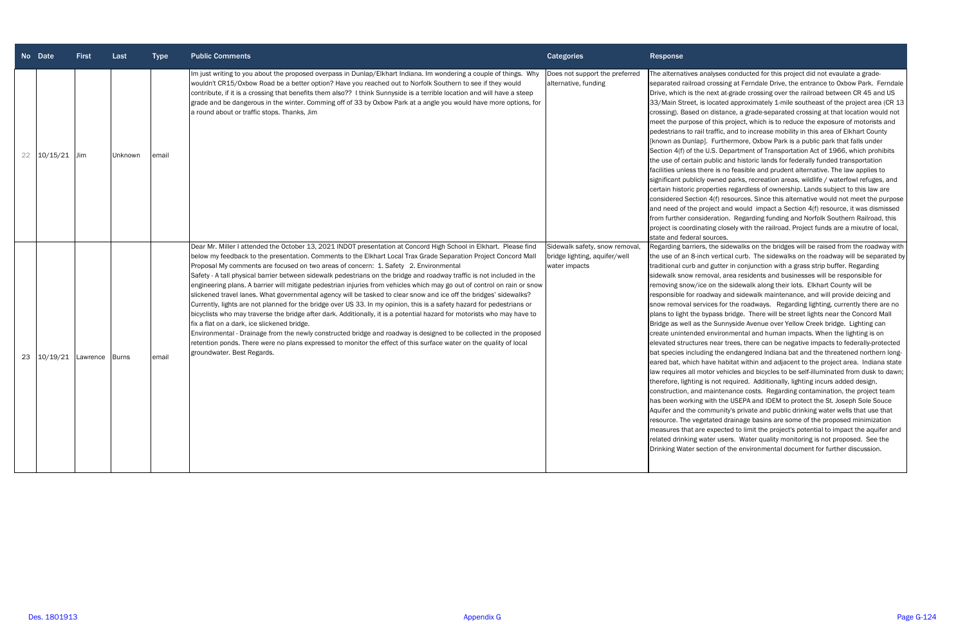|    | No Date  | <b>First</b> | Last         | <b>Type</b> | <b>Public Comments</b>                                                                                                                                                                                                                                                                                                                                                                                                                                                                                                                                                                                                                                                                                                                                                                                                                                                                                                                                                                                                                                                                                                                                                                                                                                                                | <b>Categories</b>                                                                | Response                                                                                                                                                                                                                                                                                                                                                                                                                                                                                                                                                                                                                                                               |
|----|----------|--------------|--------------|-------------|---------------------------------------------------------------------------------------------------------------------------------------------------------------------------------------------------------------------------------------------------------------------------------------------------------------------------------------------------------------------------------------------------------------------------------------------------------------------------------------------------------------------------------------------------------------------------------------------------------------------------------------------------------------------------------------------------------------------------------------------------------------------------------------------------------------------------------------------------------------------------------------------------------------------------------------------------------------------------------------------------------------------------------------------------------------------------------------------------------------------------------------------------------------------------------------------------------------------------------------------------------------------------------------|----------------------------------------------------------------------------------|------------------------------------------------------------------------------------------------------------------------------------------------------------------------------------------------------------------------------------------------------------------------------------------------------------------------------------------------------------------------------------------------------------------------------------------------------------------------------------------------------------------------------------------------------------------------------------------------------------------------------------------------------------------------|
| 22 | 10/15/21 | Jim          | Unknown      | email       | Im just writing to you about the proposed overpass in Dunlap/Elkhart Indiana. Im wondering a couple of things. Why<br>wouldn't CR15/Oxbow Road be a better option? Have you reached out to Norfolk Southern to see if they would<br>contribute, if it is a crossing that benefits them also?? I think Sunnyside is a terrible location and will have a steep<br>grade and be dangerous in the winter. Comming off of 33 by Oxbow Park at a angle you would have more options, for<br>a round about or traffic stops. Thanks, Jim                                                                                                                                                                                                                                                                                                                                                                                                                                                                                                                                                                                                                                                                                                                                                      | Does not support the preferred<br>alternative, funding                           | The alternatives analyses<br>separated railroad crossir<br>Drive, which is the next at<br>33/Main Street, is located<br>crossing). Based on distar<br>meet the purpose of this <sub>l</sub><br>pedestrians to rail traffic,<br>[known as Dunlap]. Furth<br>Section 4(f) of the U.S. De<br>the use of certain public a<br>facilities unless there is no<br>significant publicly owned<br>certain historic properties<br>considered Section 4(f) re<br>and need of the project ar<br>from further consideration<br>project is coordinating clo<br>state and federal sources                                                                                              |
| 23 | 10/19/21 | Lawrence     | <b>Burns</b> | email       | Dear Mr. Miller I attended the October 13, 2021 INDOT presentation at Concord High School in Elkhart. Please find<br>below my feedback to the presentation. Comments to the Elkhart Local Trax Grade Separation Project Concord Mall<br>Proposal My comments are focused on two areas of concern: 1. Safety 2. Environmental<br>Safety - A tall physical barrier between sidewalk pedestrians on the bridge and roadway traffic is not included in the<br>engineering plans. A barrier will mitigate pedestrian injuries from vehicles which may go out of control on rain or snow<br>slickened travel lanes. What governmental agency will be tasked to clear snow and ice off the bridges' sidewalks?<br>Currently, lights are not planned for the bridge over US 33. In my opinion, this is a safety hazard for pedestrians or<br>bicyclists who may traverse the bridge after dark. Additionally, it is a potential hazard for motorists who may have to<br>fix a flat on a dark, ice slickened bridge.<br>Environmental - Drainage from the newly constructed bridge and roadway is designed to be collected in the proposed<br>retention ponds. There were no plans expressed to monitor the effect of this surface water on the quality of local<br>groundwater. Best Regards. | Sidewalk safety, snow removal,<br>bridge lighting, aquifer/well<br>water impacts | Regarding barriers, the sid<br>the use of an 8-inch vertic<br>traditional curb and gutter<br>sidewalk snow removal, a<br>removing snow/ice on the<br>responsible for roadway a<br>snow removal services for<br>plans to light the bypass b<br>Bridge as well as the Suni<br>create unintended enviror<br>elevated structures near t<br>bat species including the<br>eared bat, which have hal<br>law requires all motor veh<br>therefore, lighting is not re<br>construction, and mainter<br>has been working with the<br>Aquifer and the communit<br>resource. The vegetated d<br>measures that are expect<br>related drinking water use<br>Drinking Water section of |

alyses conducted for this project did not evaulate a graderossing at Ferndale Drive, the entrance to Oxbow Park. Ferndale lext at-grade crossing over the railroad between CR 45 and US ocated approximately 1-mile southeast of the project area (CR 13 distance, a grade-separated crossing at that location would not f this project, which is to reduce the exposure of motorists and raffic, and to increase mobility in this area of Elkhart County Furthermore, Oxbow Park is a public park that falls under I.S. Department of Transportation Act of 1966, which prohibits ublic and historic lands for federally funded transportation re is no feasible and prudent alternative. The law applies to wned parks, recreation areas, wildlife / waterfowl refuges, and erties regardless of ownership. Lands subject to this law are 4(f) resources. Since this alternative would not meet the purpose ject and would impact a Section 4(f) resource, it was dismissed eration. Regarding funding and Norfolk Southern Railroad, this ng closely with the railroad. Project funds are a mixutre of local,

the sidewalks on the bridges will be raised from the roadway with vertical curb. The sidewalks on the roadway will be separated by gutter in conjunction with a grass strip buffer. Regarding oval, area residents and businesses will be responsible for on the sidewalk along their lots. Elkhart County will be lway and sidewalk maintenance, and will provide deicing and ses for the roadways. Regarding lighting, currently there are no pass bridge. There will be street lights near the Concord Mall Bridge Avenue over Yellow Creek bridge. Lighting can environmental and human impacts. When the lighting is on near trees, there can be negative impacts to federally-protected g the endangered Indiana bat and the threatened northern longve habitat within and adjacent to the project area. Indiana state or vehicles and bicycles to be self-illuminated from dusk to dawn; not required. Additionally, lighting incurs added design, aintenance costs. Regarding contamination, the project team ith the USEPA and IDEM to protect the St. Joseph Sole Souce Imunity's private and public drinking water wells that use that ated drainage basins are some of the proposed minimization expected to limit the project's potential to impact the aquifer and ter users. Water quality monitoring is not proposed. See the ion of the environmental document for further discussion.